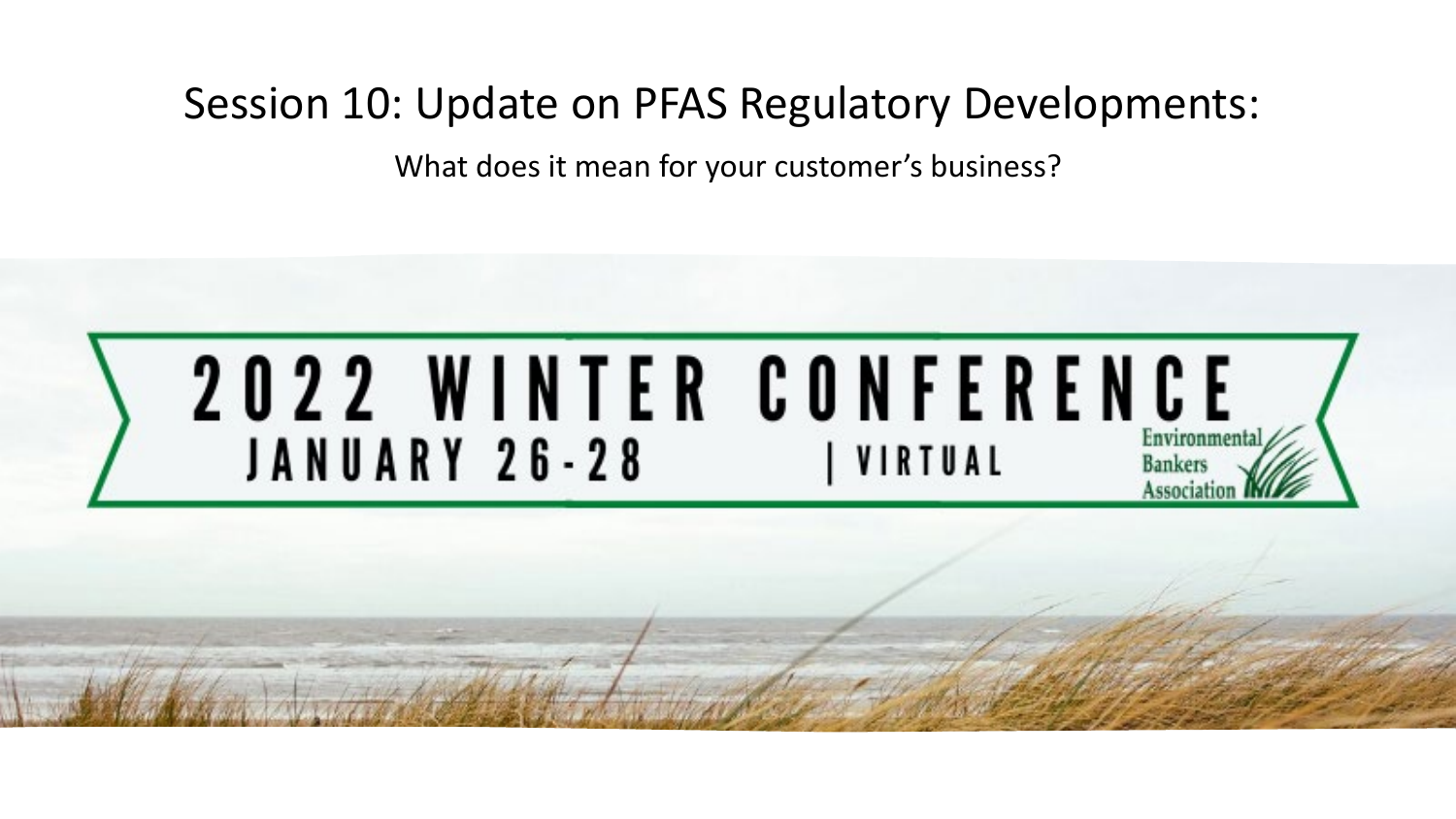#### Session 10: Update on PFAS Regulatory Developments:

What does it mean for your customer's business?

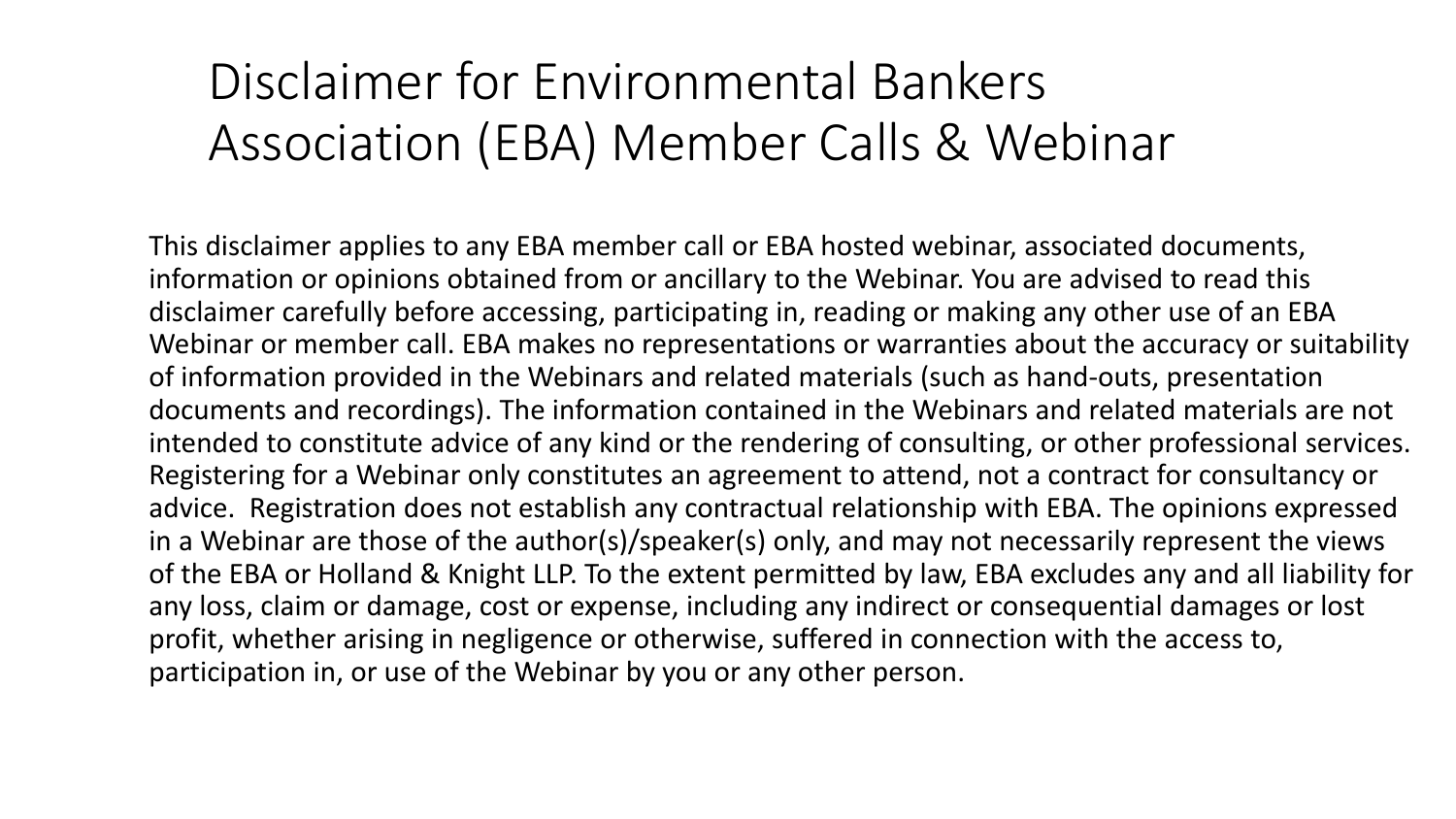#### Disclaimer for Environmental Bankers Association (EBA) Member Calls & Webinar

This disclaimer applies to any EBA member call or EBA hosted webinar, associated documents, information or opinions obtained from or ancillary to the Webinar. You are advised to read this disclaimer carefully before accessing, participating in, reading or making any other use of an EBA Webinar or member call. EBA makes no representations or warranties about the accuracy or suitability of information provided in the Webinars and related materials (such as hand-outs, presentation documents and recordings). The information contained in the Webinars and related materials are not intended to constitute advice of any kind or the rendering of consulting, or other professional services. Registering for a Webinar only constitutes an agreement to attend, not a contract for consultancy or advice. Registration does not establish any contractual relationship with EBA. The opinions expressed in a Webinar are those of the author(s)/speaker(s) only, and may not necessarily represent the views of the EBA or Holland & Knight LLP. To the extent permitted by law, EBA excludes any and all liability for any loss, claim or damage, cost or expense, including any indirect or consequential damages or lost profit, whether arising in negligence or otherwise, suffered in connection with the access to, participation in, or use of the Webinar by you or any other person.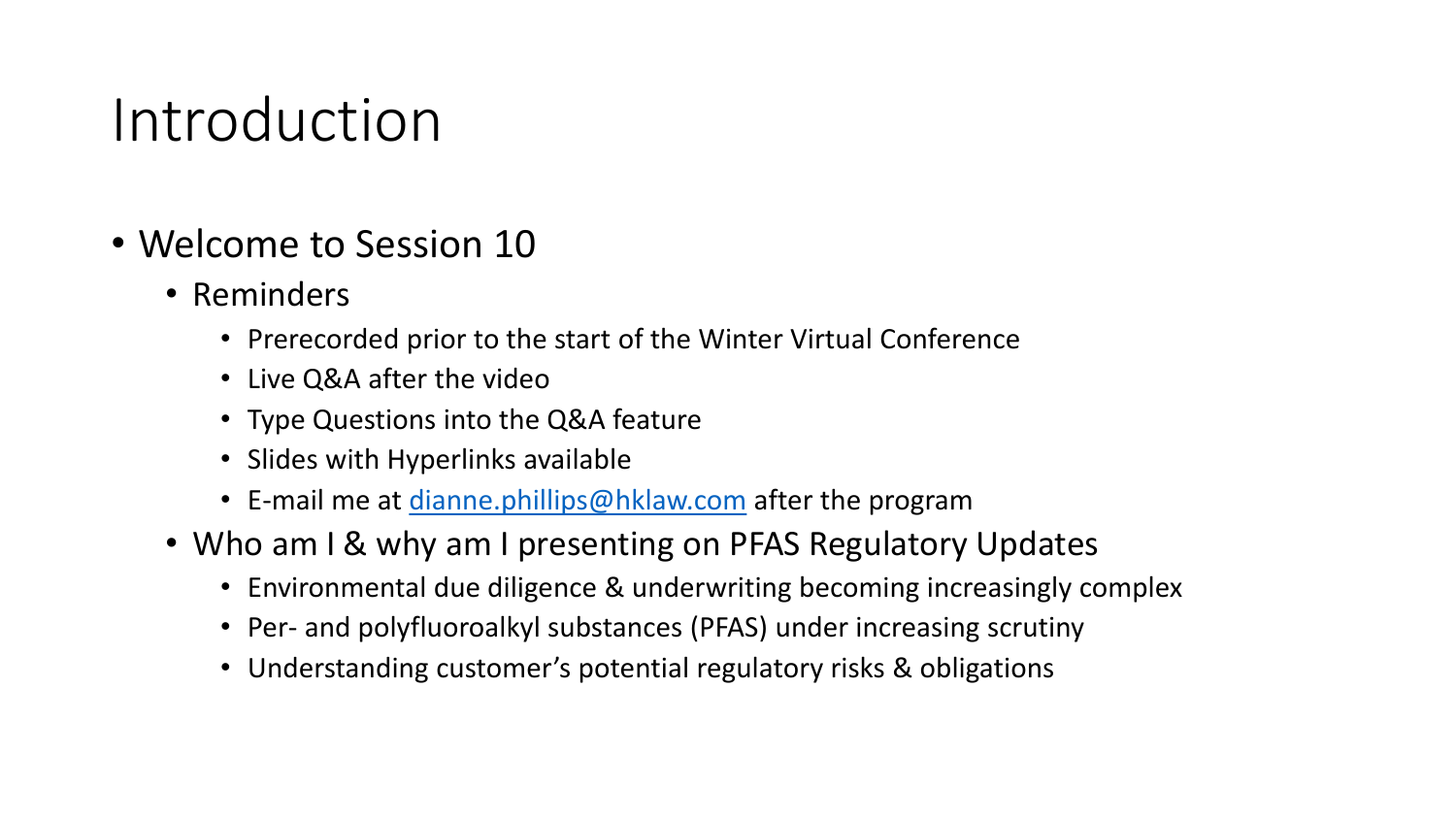#### Introduction

- Welcome to Session 10
	- Reminders
		- Prerecorded prior to the start of the Winter Virtual Conference
		- Live Q&A after the video
		- Type Questions into the Q&A feature
		- Slides with Hyperlinks available
		- E-mail me at [dianne.phillips@hklaw.com](mailto:dianne.phillips@hklaw.com) after the program
	- Who am I & why am I presenting on PFAS Regulatory Updates
		- Environmental due diligence & underwriting becoming increasingly complex
		- Per- and polyfluoroalkyl substances (PFAS) under increasing scrutiny
		- Understanding customer's potential regulatory risks & obligations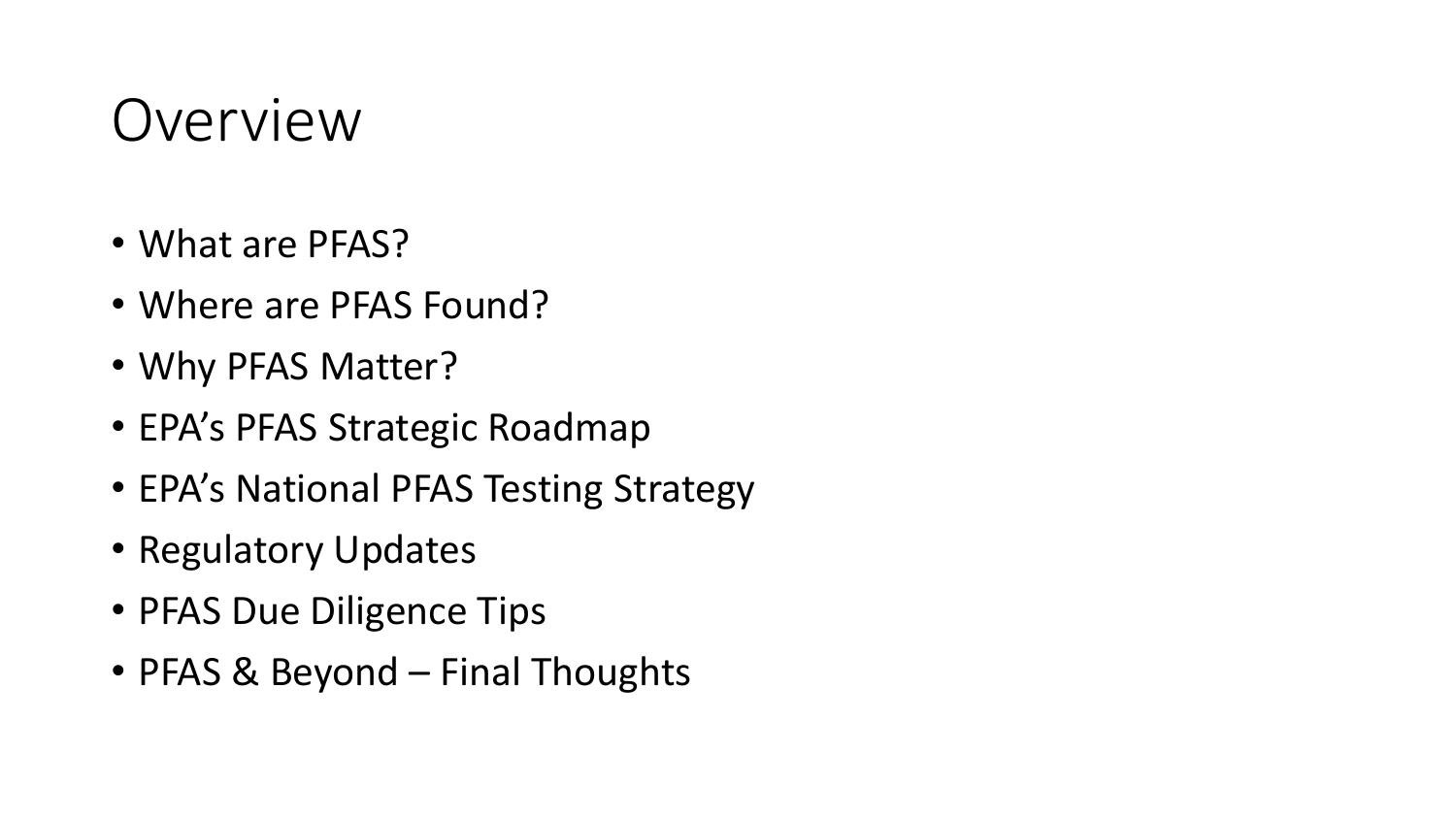#### Overview

- What are PFAS?
- Where are PFAS Found?
- Why PFAS Matter?
- EPA's PFAS Strategic Roadmap
- EPA's National PFAS Testing Strategy
- Regulatory Updates
- PFAS Due Diligence Tips
- PFAS & Beyond Final Thoughts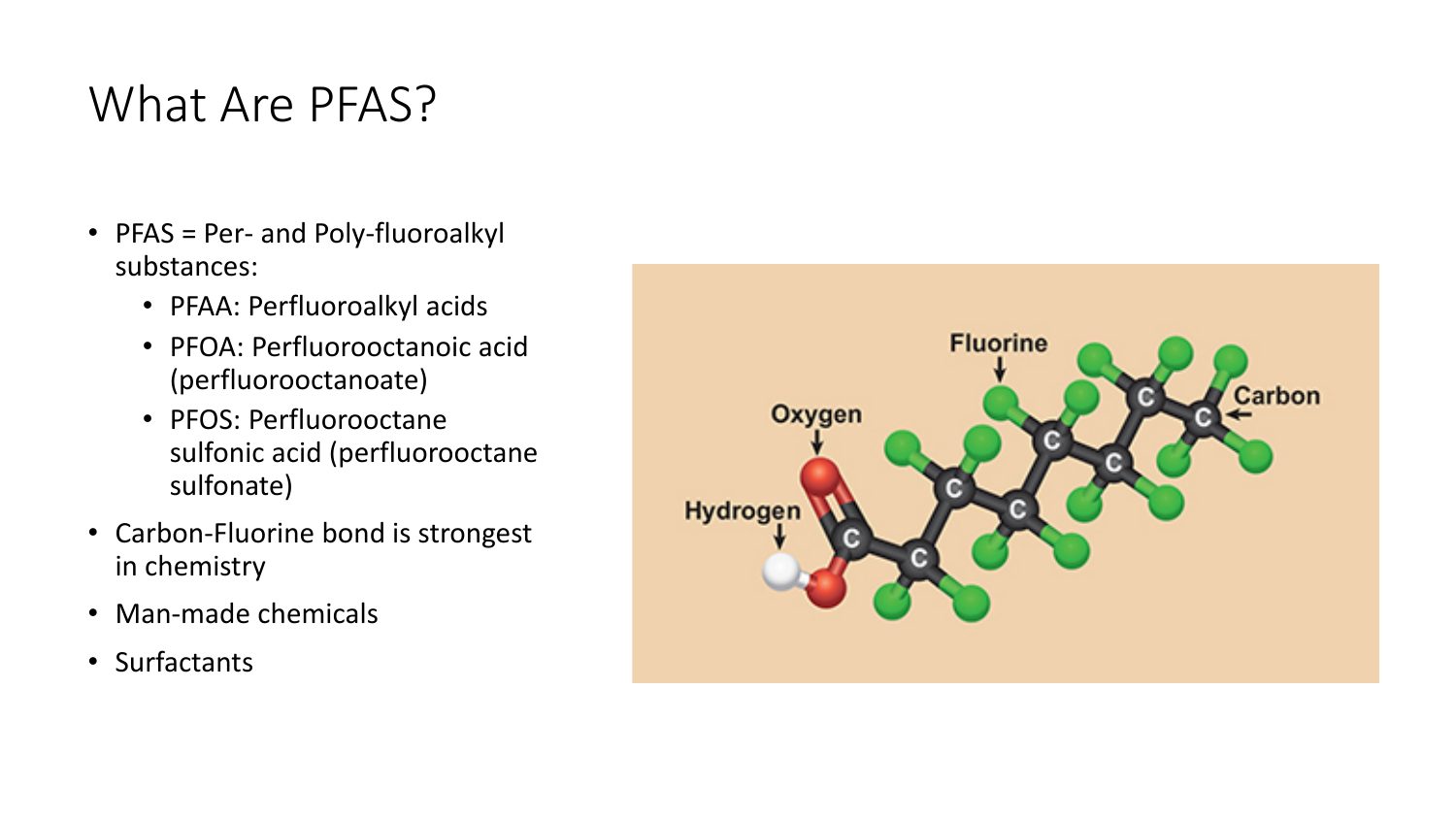#### What Are PFAS?

- PFAS = Per- and Poly-fluoroalkyl substances:
	- PFAA: Perfluoroalkyl acids
	- PFOA: Perfluorooctanoic acid (perfluorooctanoate)
	- PFOS: Perfluorooctane sulfonic acid (perfluorooctane sulfonate)
- Carbon-Fluorine bond is strongest in chemistry
- Man-made chemicals
- Surfactants

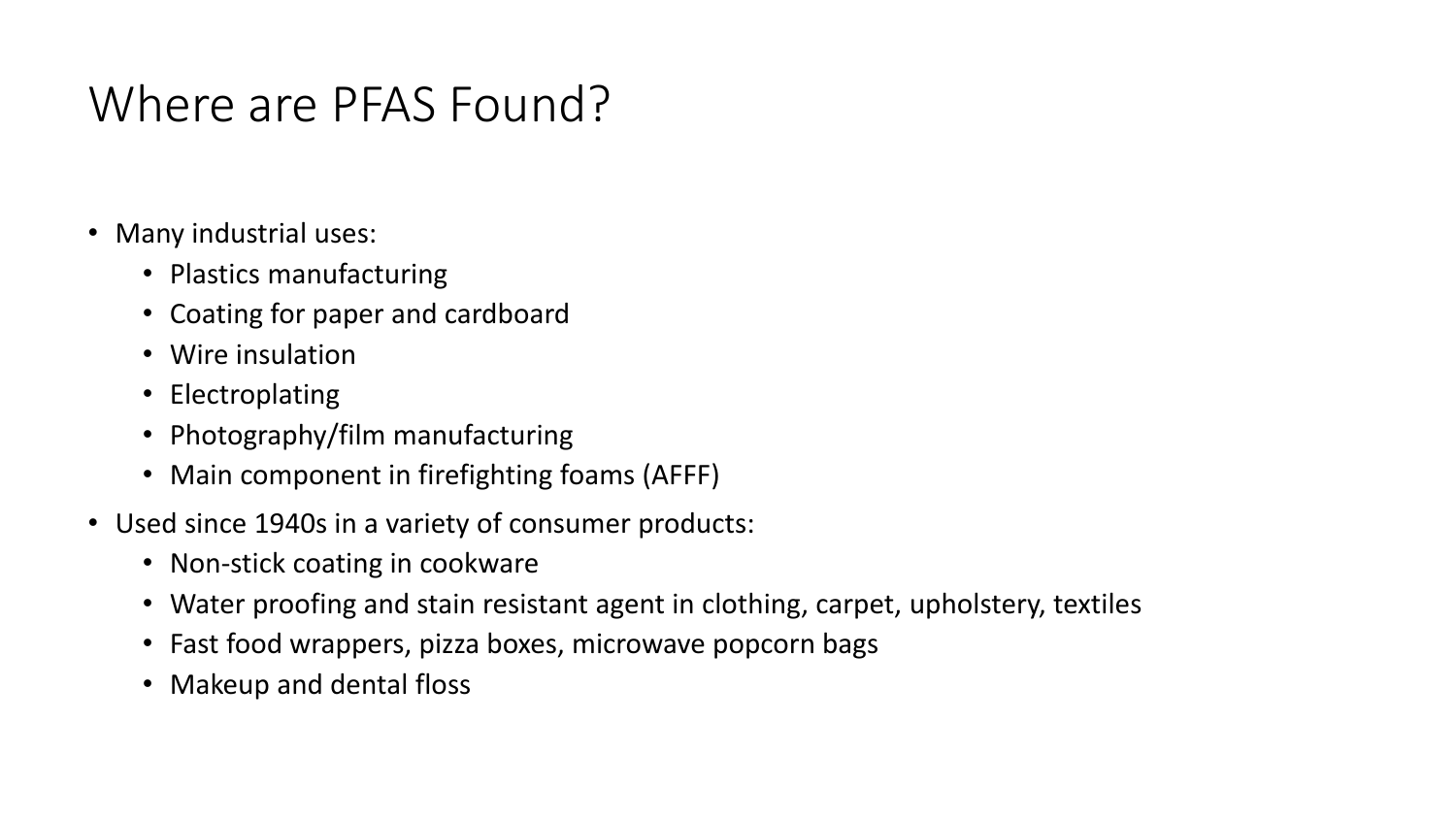#### Where are PFAS Found?

- Many industrial uses:
	- Plastics manufacturing
	- Coating for paper and cardboard
	- Wire insulation
	- Electroplating
	- Photography/film manufacturing
	- Main component in firefighting foams (AFFF)
- Used since 1940s in a variety of consumer products:
	- Non-stick coating in cookware
	- Water proofing and stain resistant agent in clothing, carpet, upholstery, textiles
	- Fast food wrappers, pizza boxes, microwave popcorn bags
	- Makeup and dental floss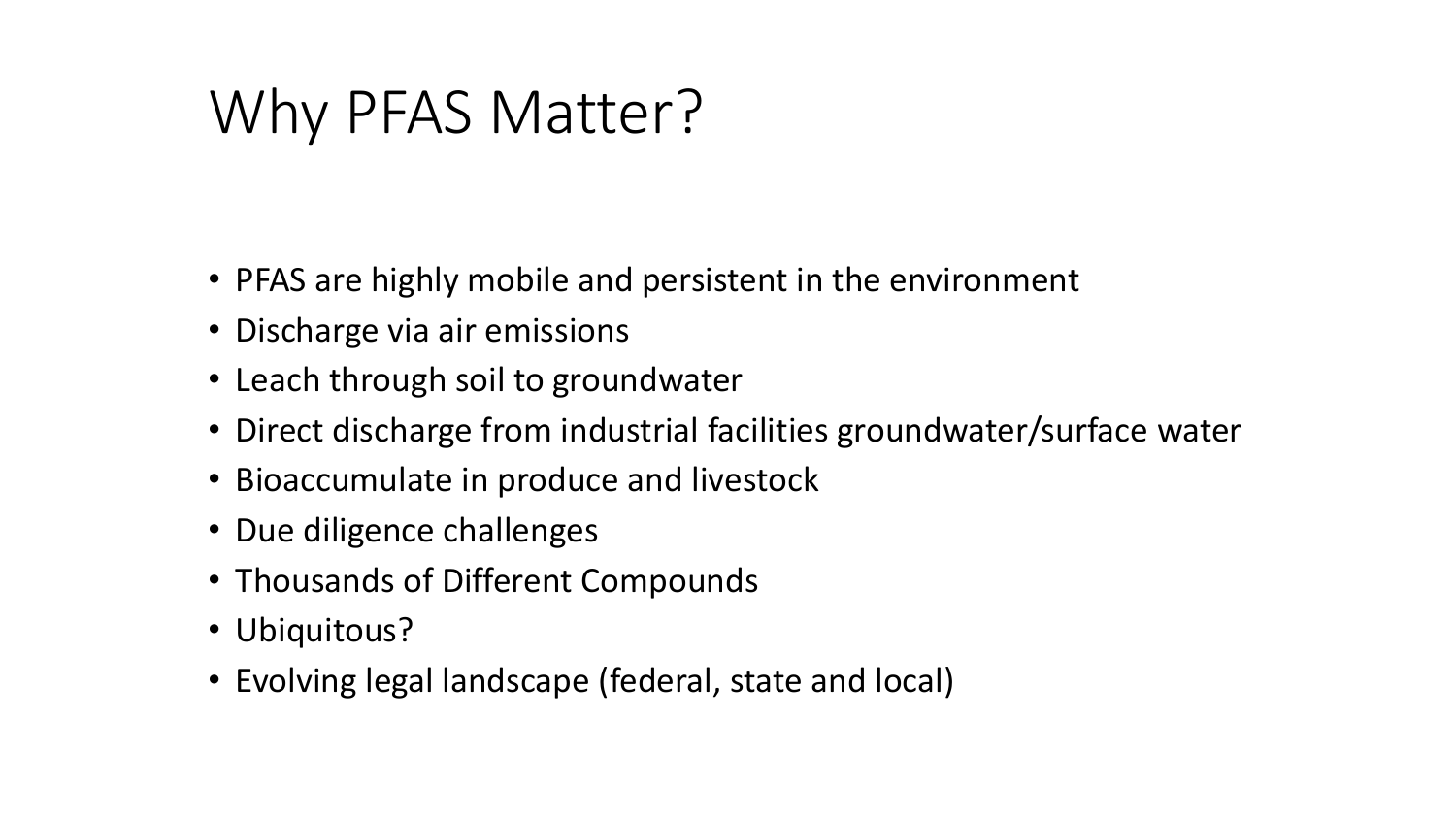#### Why PFAS Matter?

- PFAS are highly mobile and persistent in the environment
- Discharge via air emissions
- Leach through soil to groundwater
- Direct discharge from industrial facilities groundwater/surface water
- Bioaccumulate in produce and livestock
- Due diligence challenges
- Thousands of Different Compounds
- Ubiquitous?
- Evolving legal landscape (federal, state and local)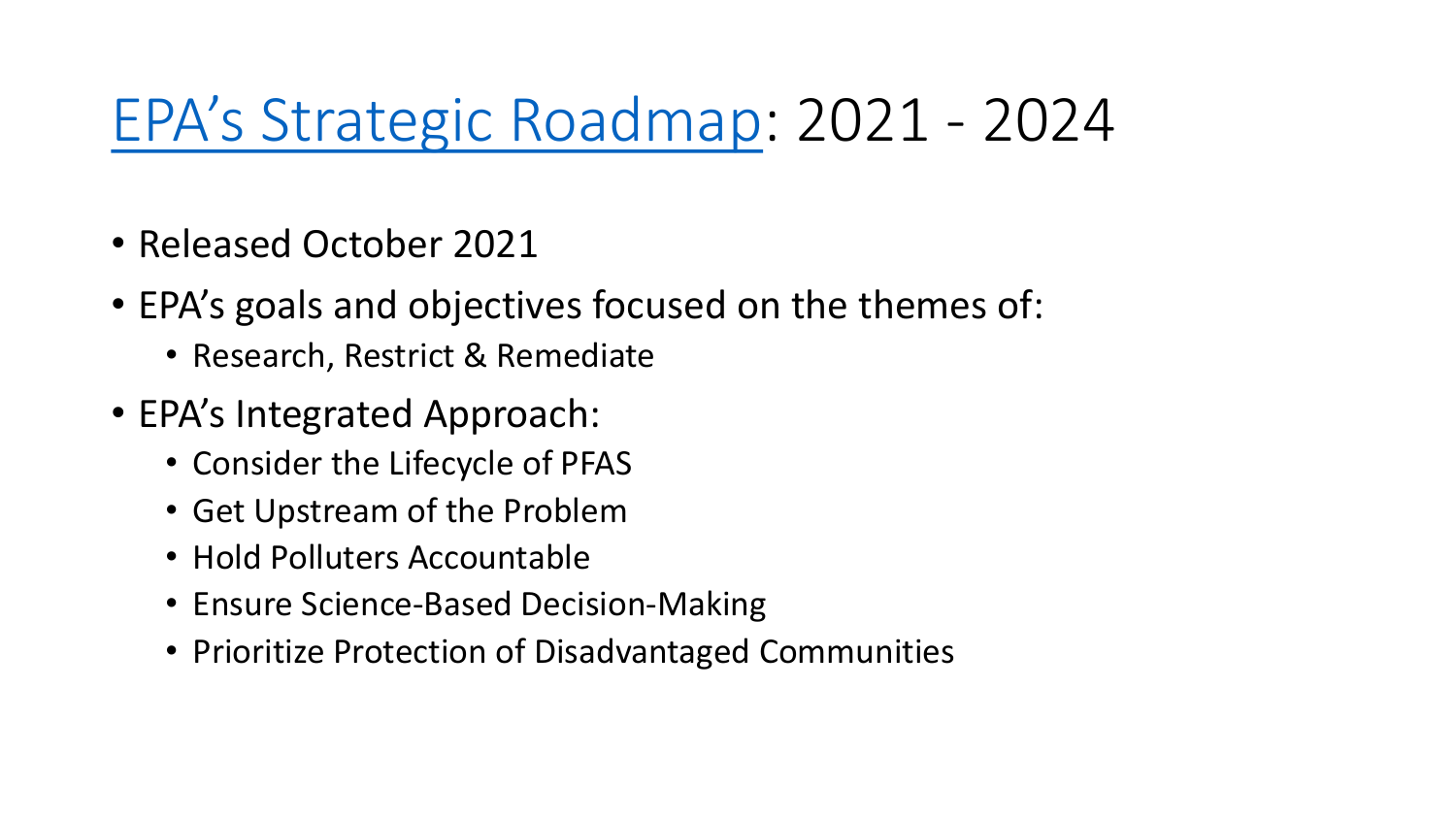#### [EPA's Strategic Roadmap](https://www.epa.gov/pfas/pfas-strategic-roadmap-epas-commitments-action-2021-2024): 2021 - 2024

- Released October 2021
- EPA's goals and objectives focused on the themes of:
	- Research, Restrict & Remediate
- EPA's Integrated Approach:
	- Consider the Lifecycle of PFAS
	- Get Upstream of the Problem
	- Hold Polluters Accountable
	- Ensure Science-Based Decision-Making
	- Prioritize Protection of Disadvantaged Communities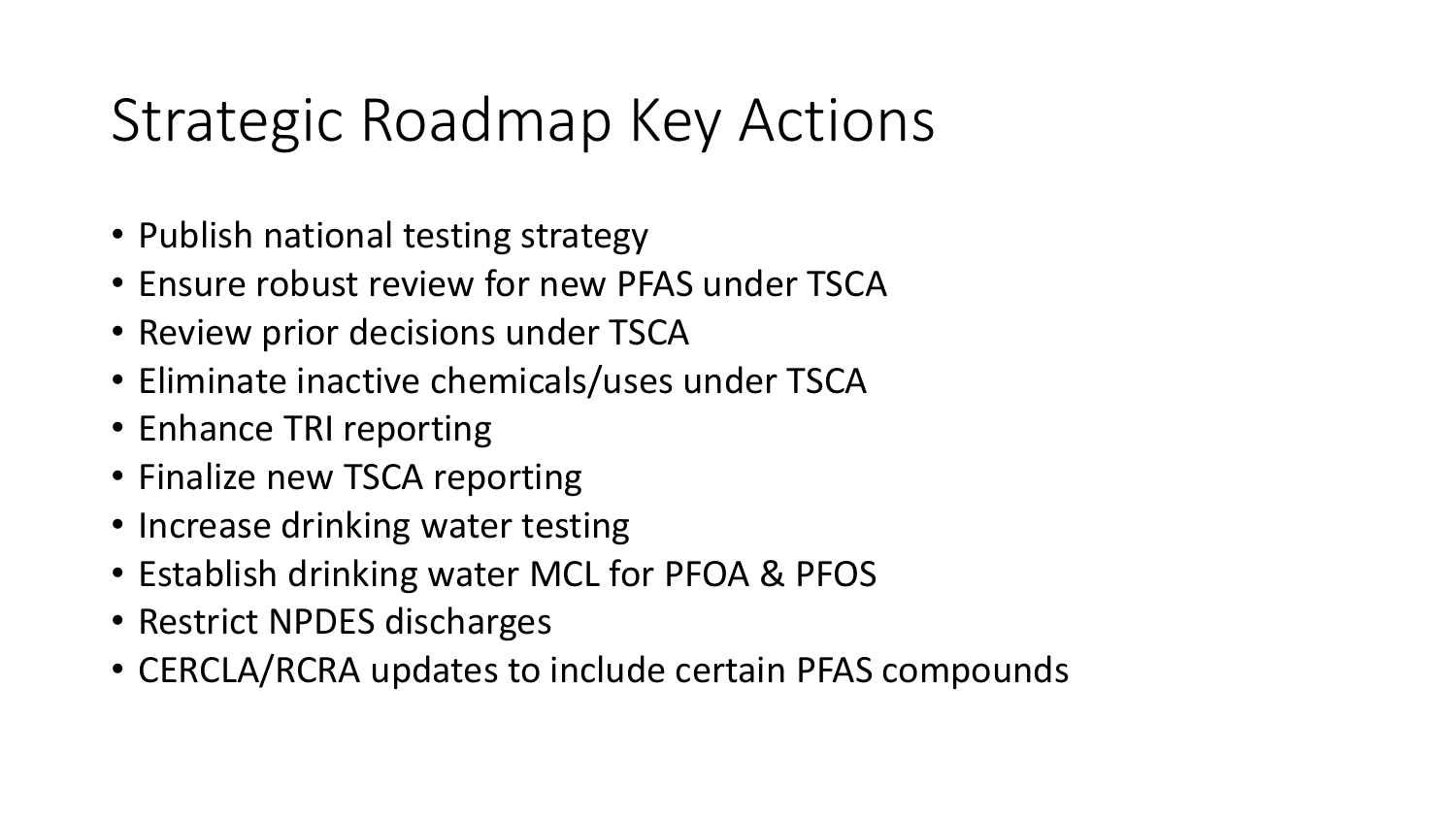#### Strategic Roadmap Key Actions

- Publish national testing strategy
- Ensure robust review for new PFAS under TSCA
- Review prior decisions under TSCA
- Eliminate inactive chemicals/uses under TSCA
- Enhance TRI reporting
- Finalize new TSCA reporting
- Increase drinking water testing
- Establish drinking water MCL for PFOA & PFOS
- Restrict NPDES discharges
- CERCLA/RCRA updates to include certain PFAS compounds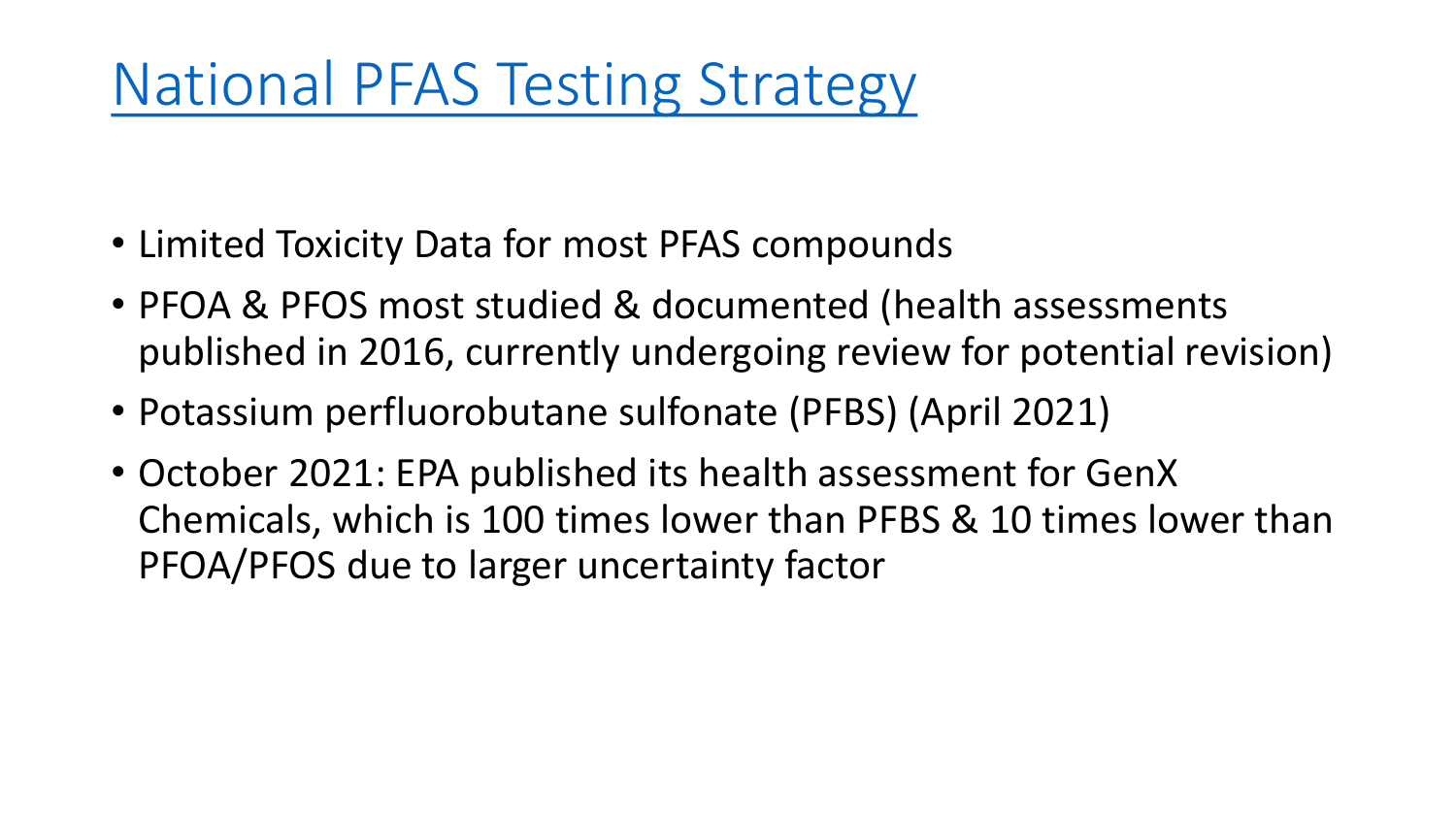#### National PFAS [Testing Strategy](https://www.epa.gov/assessing-and-managing-chemicals-under-tsca/national-pfas-testing-strategy)

- Limited Toxicity Data for most PFAS compounds
- PFOA & PFOS most studied & documented (health assessments published in 2016, currently undergoing review for potential revision)
- Potassium perfluorobutane sulfonate (PFBS) (April 2021)
- October 2021: EPA published its health assessment for GenX Chemicals, which is 100 times lower than PFBS & 10 times lower than PFOA/PFOS due to larger uncertainty factor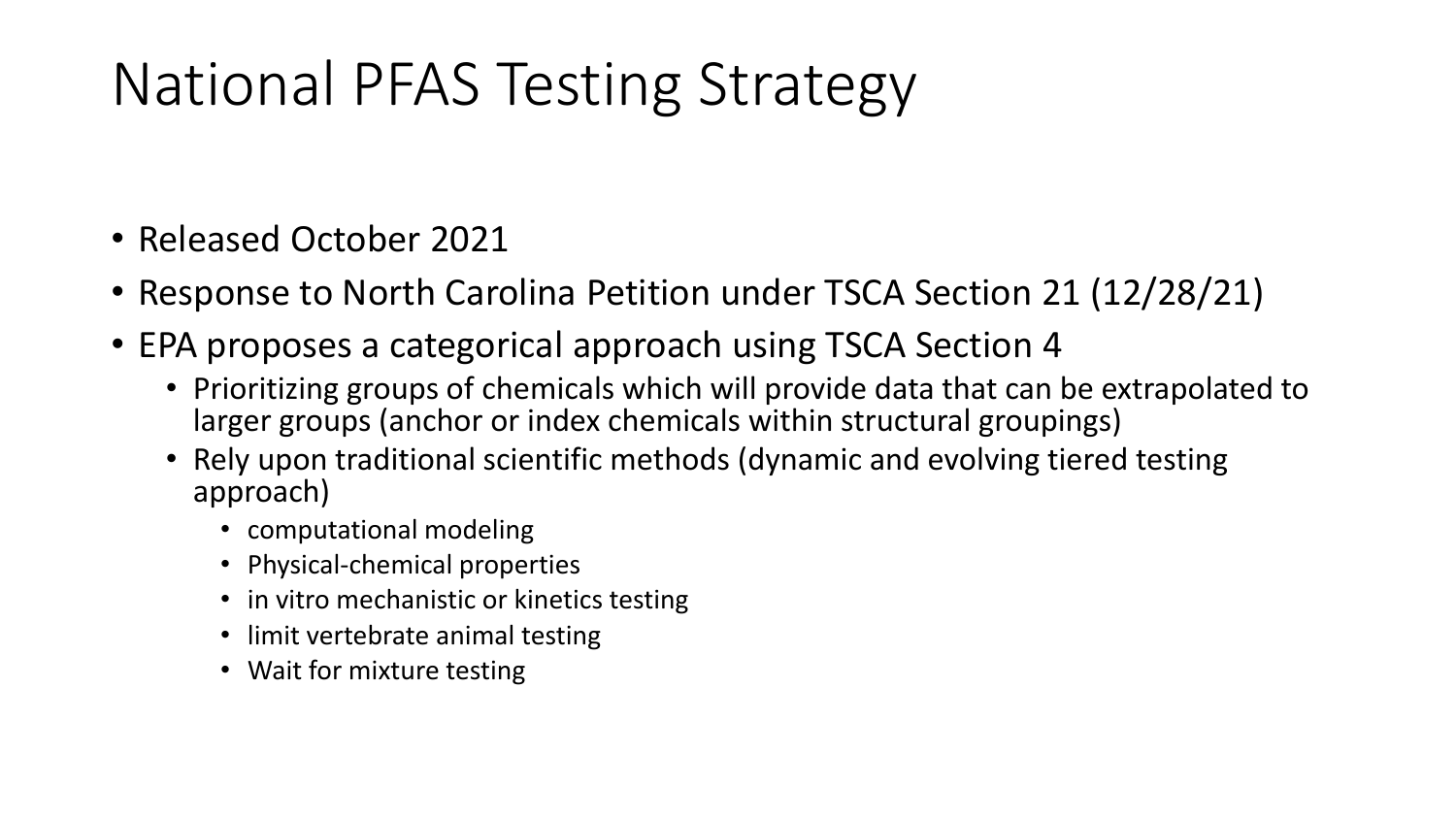## National PFAS Testing Strategy

- Released October 2021
- Response to North Carolina Petition under TSCA Section 21 (12/28/21)
- EPA proposes a categorical approach using TSCA Section 4
	- Prioritizing groups of chemicals which will provide data that can be extrapolated to larger groups (anchor or index chemicals within structural groupings)
	- Rely upon traditional scientific methods (dynamic and evolving tiered testing approach)
		- computational modeling
		- Physical-chemical properties
		- in vitro mechanistic or kinetics testing
		- limit vertebrate animal testing
		- Wait for mixture testing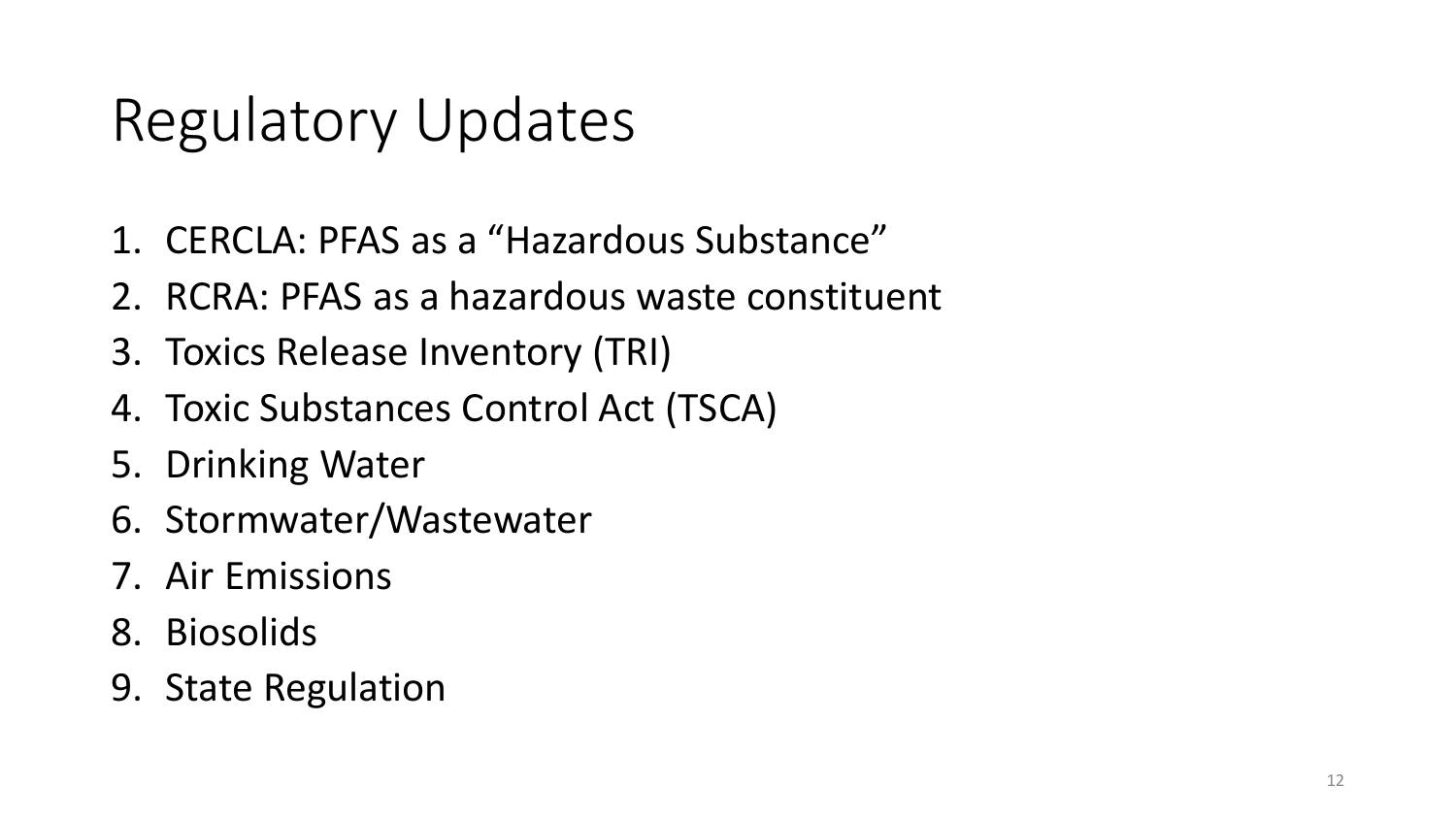#### Regulatory Updates

- 1. CERCLA: PFAS as a "Hazardous Substance"
- 2. RCRA: PFAS as a hazardous waste constituent
- 3. Toxics Release Inventory (TRI)
- 4. Toxic Substances Control Act (TSCA)
- 5. Drinking Water
- 6. Stormwater/Wastewater
- 7. Air Emissions
- 8. Biosolids
- 9. State Regulation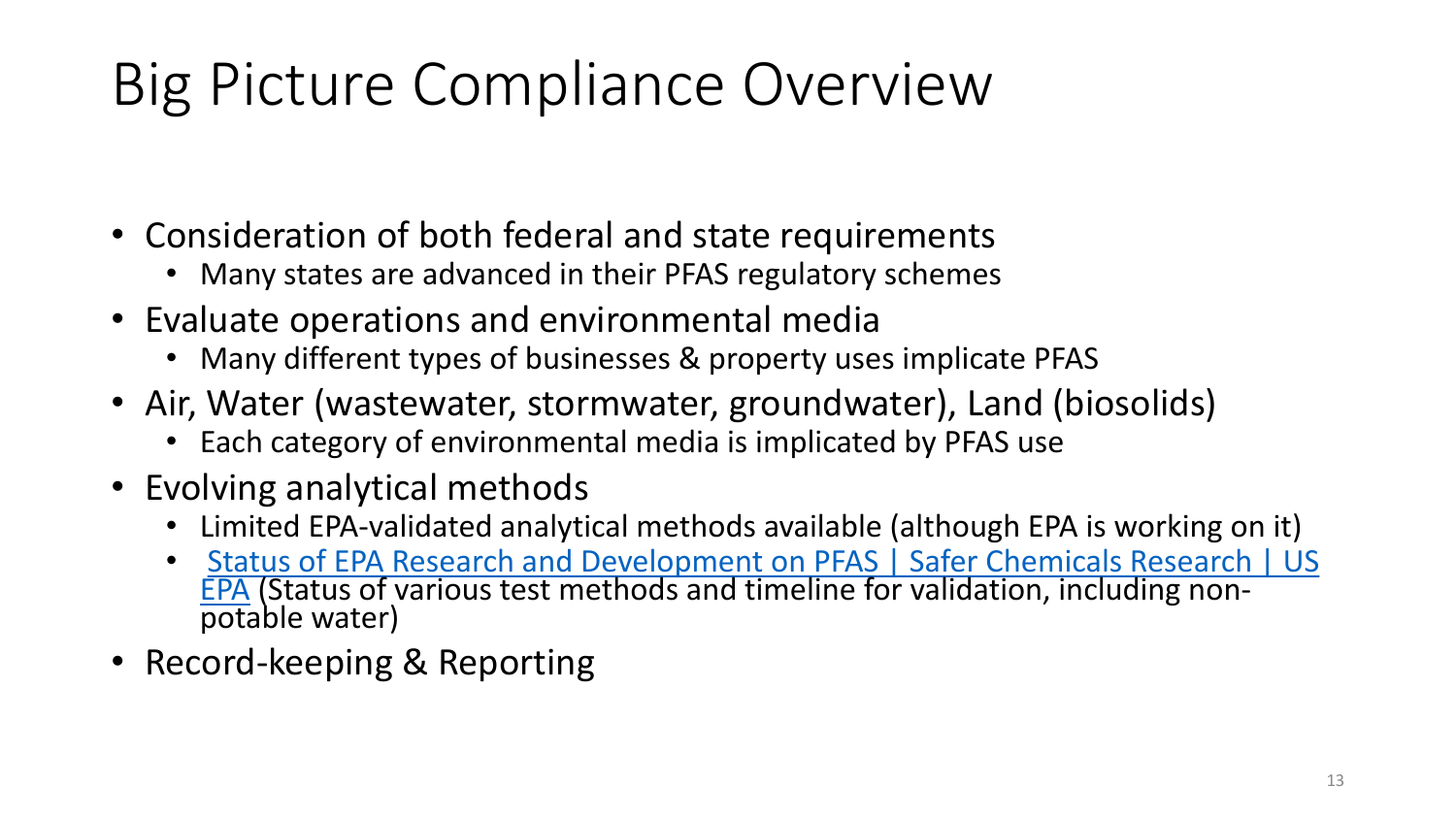# Big Picture Compliance Overview

- Consideration of both federal and state requirements
	- Many states are advanced in their PFAS regulatory schemes
- Evaluate operations and environmental media
	- Many different types of businesses & property uses implicate PFAS
- Air, Water (wastewater, stormwater, groundwater), Land (biosolids)
	- Each category of environmental media is implicated by PFAS use
- Evolving analytical methods
	- Limited EPA-validated analytical methods available (although EPA is working on it)
	- Status of EPA Research and Development on PFAS | Safer Chemicals Research | US EPA [\(Status of various test methods and timeline for validation, including non-](https://www.epa.gov/chemical-research/status-epa-research-and-development-pfas)<br>potable water)
- Record-keeping & Reporting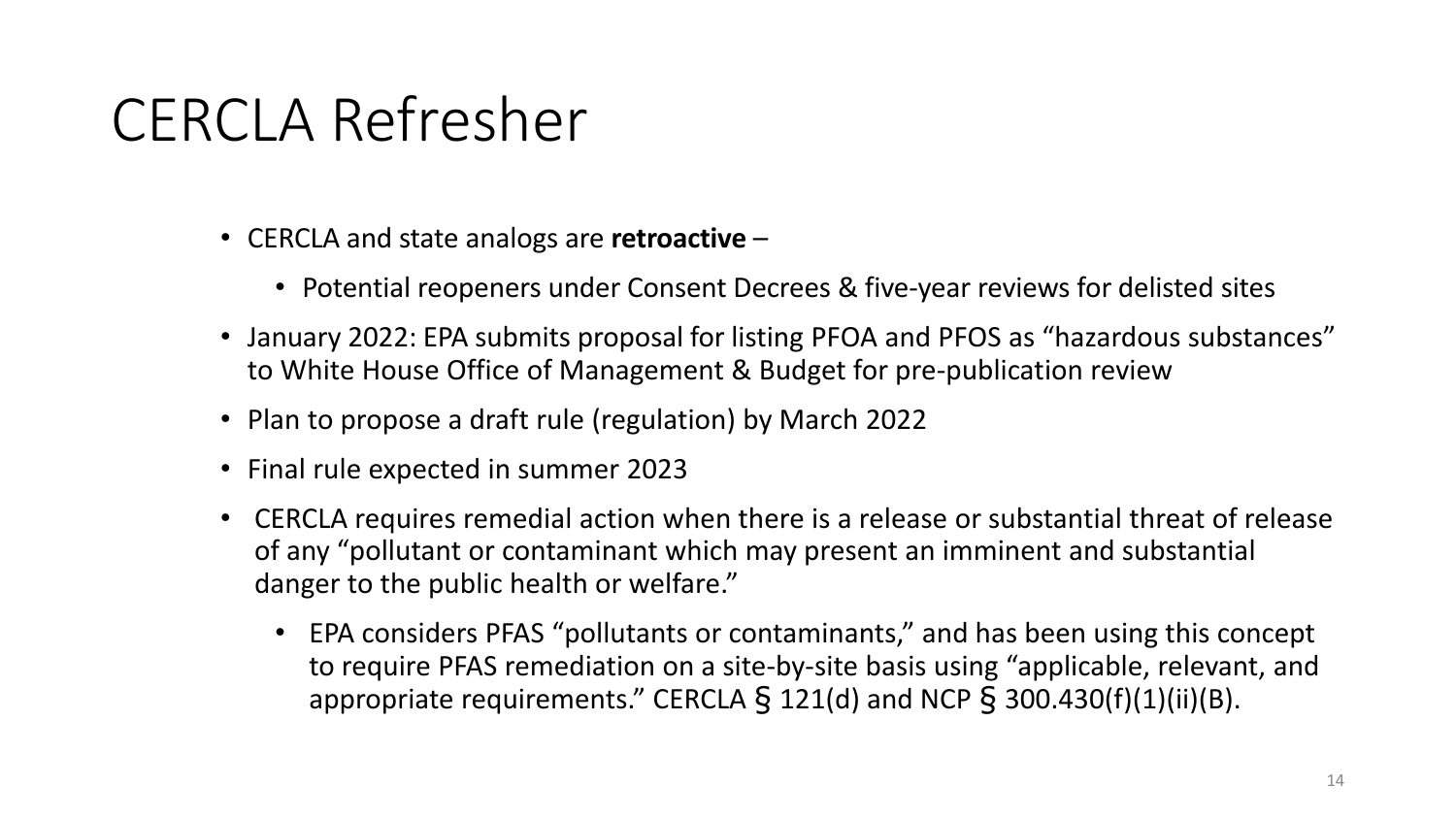#### CERCLA Refresher

- CERCLA and state analogs are **retroactive**
	- Potential reopeners under Consent Decrees & five-year reviews for delisted sites
- January 2022: EPA submits proposal for listing PFOA and PFOS as "hazardous substances" to White House Office of Management & Budget for pre-publication review
- Plan to propose a draft rule (regulation) by March 2022
- Final rule expected in summer 2023
- CERCLA requires remedial action when there is a release or substantial threat of release of any "pollutant or contaminant which may present an imminent and substantial danger to the public health or welfare."
	- EPA considers PFAS "pollutants or contaminants," and has been using this concept to require PFAS remediation on a site-by-site basis using "applicable, relevant, and appropriate requirements." CERCLA  $\S$  121(d) and NCP  $\S$  300.430(f)(1)(ii)(B).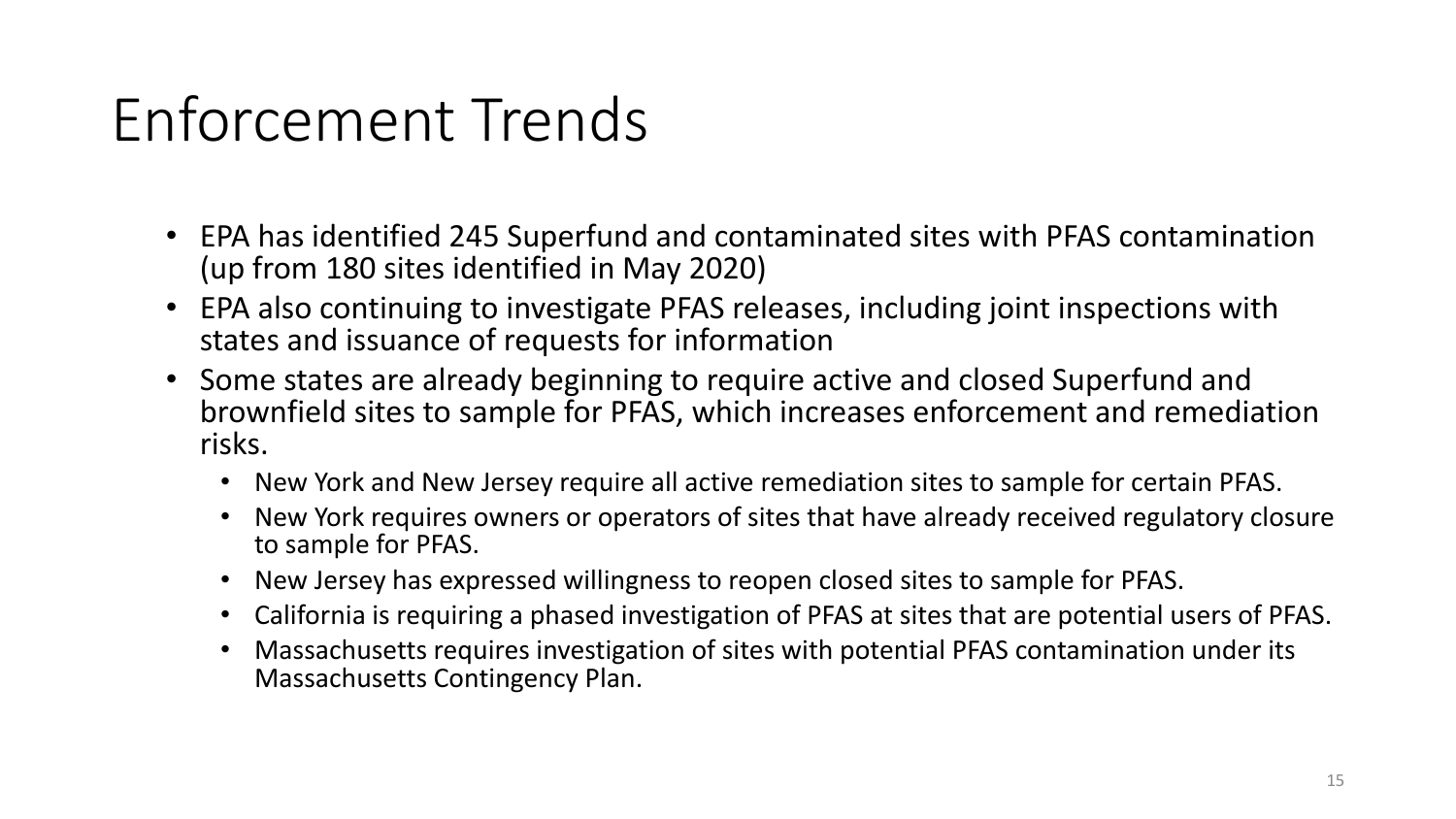## Enforcement Trends

- EPA has identified 245 Superfund and contaminated sites with PFAS contamination (up from 180 sites identified in May 2020)
- EPA also continuing to investigate PFAS releases, including joint inspections with states and issuance of requests for information
- Some states are already beginning to require active and closed Superfund and brownfield sites to sample for PFAS, which increases enforcement and remediation risks.
	- New York and New Jersey require all active remediation sites to sample for certain PFAS.
	- New York requires owners or operators of sites that have already received regulatory closure to sample for PFAS.
	- New Jersey has expressed willingness to reopen closed sites to sample for PFAS.
	- California is requiring a phased investigation of PFAS at sites that are potential users of PFAS.
	- Massachusetts requires investigation of sites with potential PFAS contamination under its Massachusetts Contingency Plan.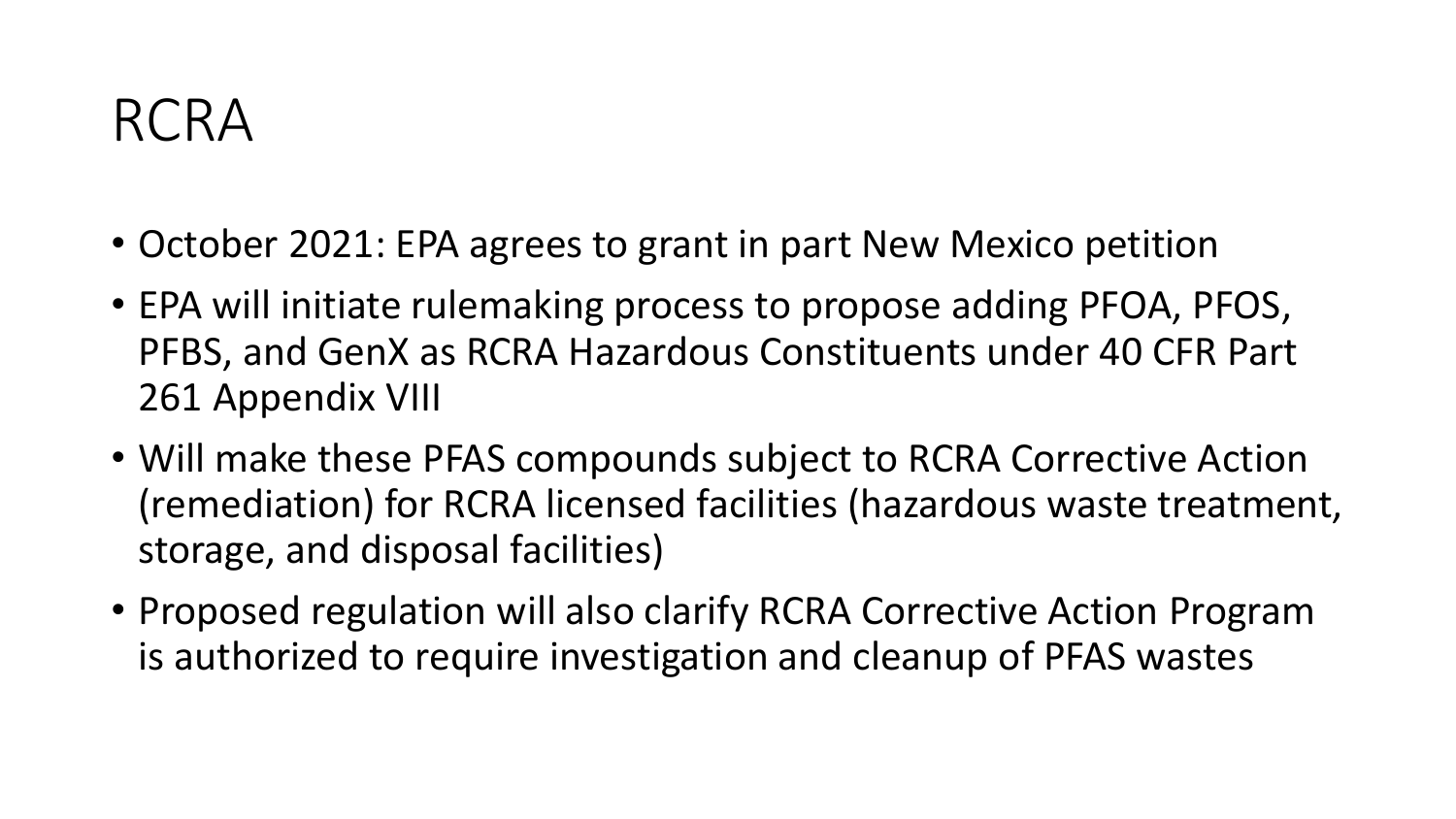#### RCRA

- October 2021: EPA agrees to grant in part New Mexico petition
- EPA will initiate rulemaking process to propose adding PFOA, PFOS, PFBS, and GenX as RCRA Hazardous Constituents under 40 CFR Part 261 Appendix VIII
- Will make these PFAS compounds subject to RCRA Corrective Action (remediation) for RCRA licensed facilities (hazardous waste treatment, storage, and disposal facilities)
- Proposed regulation will also clarify RCRA Corrective Action Program is authorized to require investigation and cleanup of PFAS wastes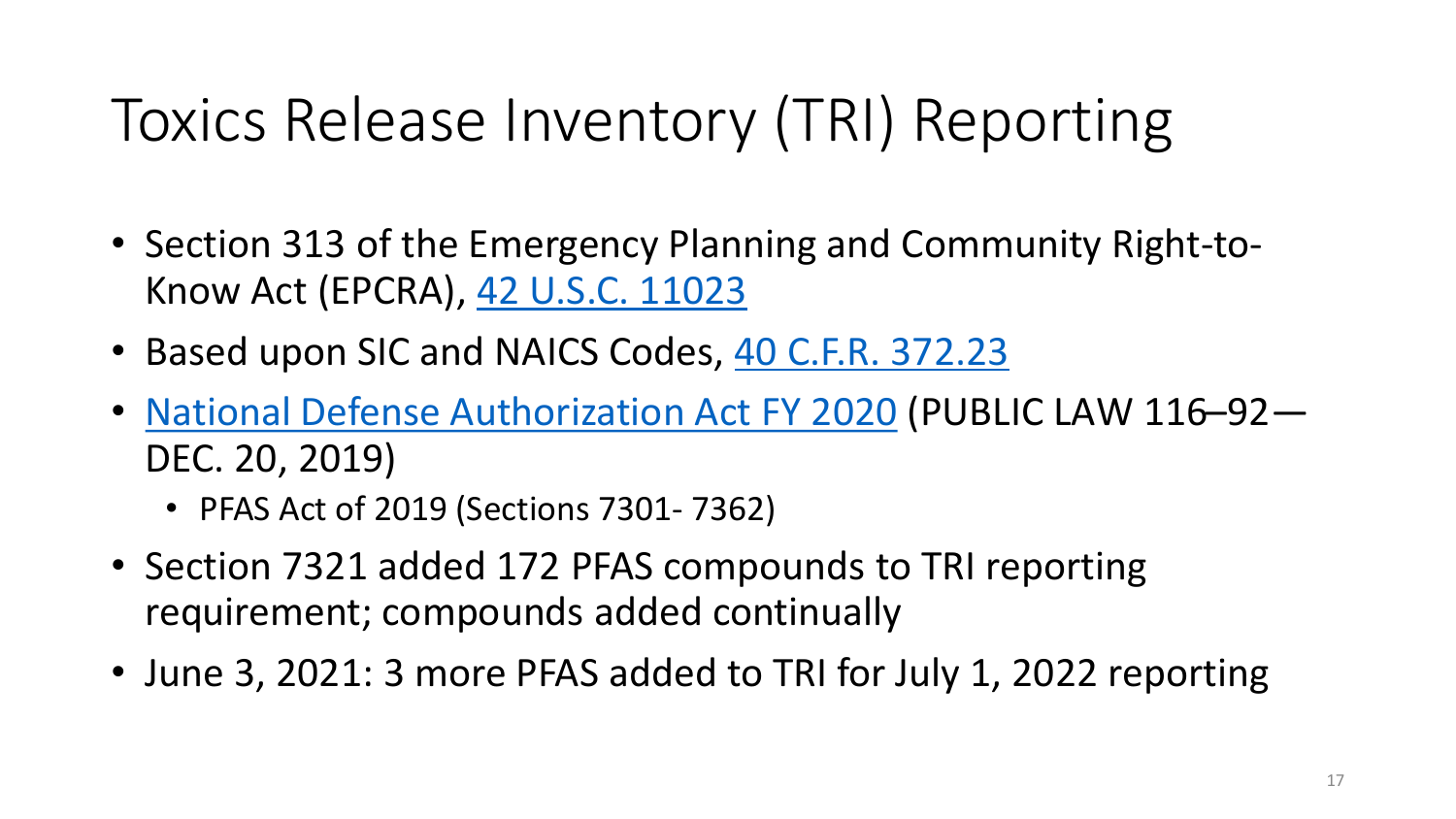# Toxics Release Inventory (TRI) Reporting

- Section 313 of the Emergency Planning and Community Right-to-Know Act (EPCRA), [42 U.S.C. 11023](https://www.law.cornell.edu/uscode/text/42/11023)
- Based upon SIC and NAICS Codes, [40 C.F.R. 372.23](https://www.law.cornell.edu/cfr/text/40/372.23)
- [National Defense Authorization Act FY 2020](https://congress.gov/116/plaws/publ92/PLAW-116publ92.pdf) (PUBLIC LAW 116–92— DEC. 20, 2019)
	- PFAS Act of 2019 (Sections 7301- 7362)
- Section 7321 added 172 PFAS compounds to TRI reporting requirement; compounds added continually
- June 3, 2021: 3 more PFAS added to TRI for July 1, 2022 reporting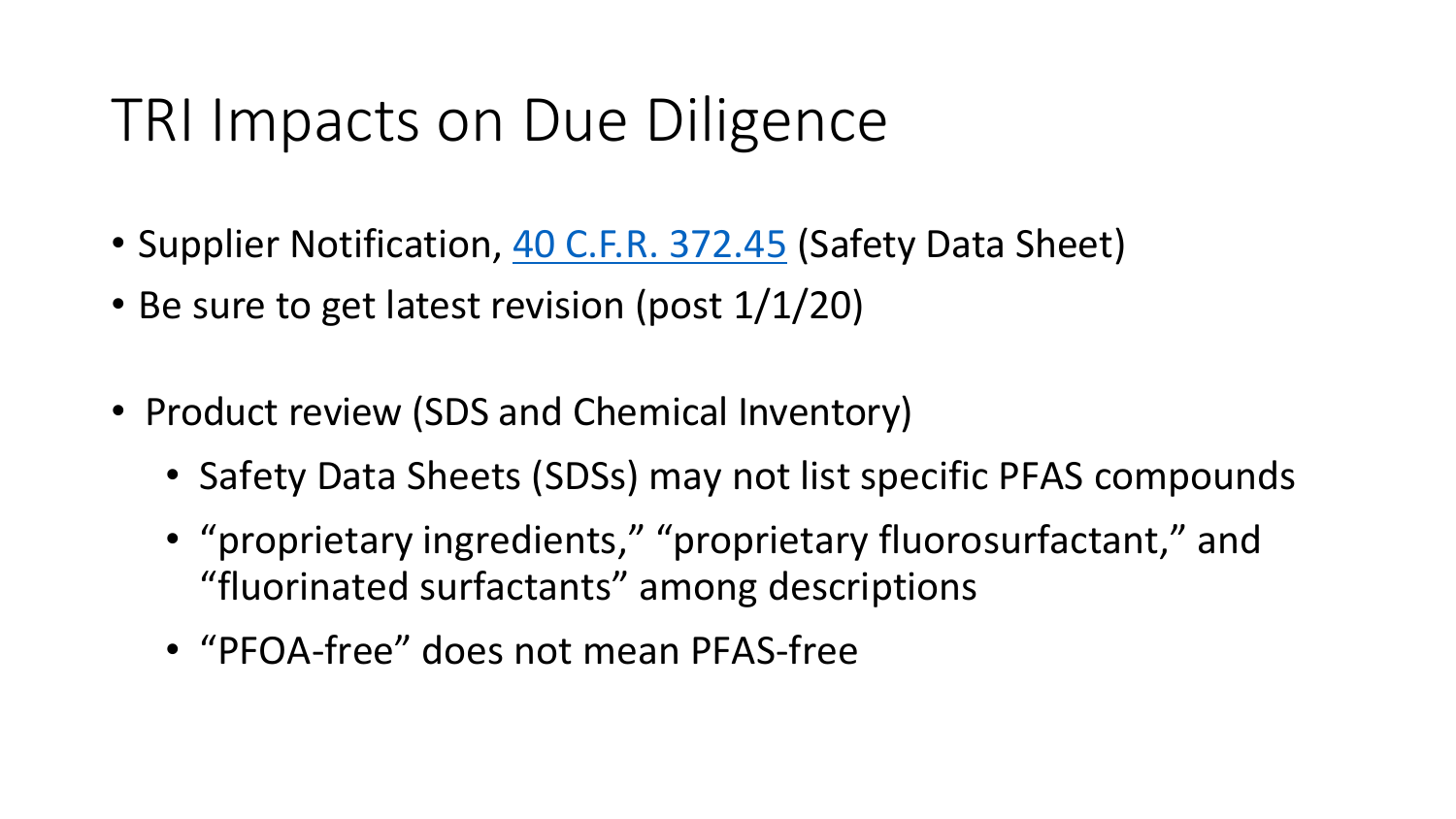#### TRI Impacts on Due Diligence

- Supplier Notification, [40 C.F.R. 372.45](https://www.law.cornell.edu/cfr/text/40/372.45) (Safety Data Sheet)
- Be sure to get latest revision (post  $1/1/20$ )
- Product review (SDS and Chemical Inventory)
	- Safety Data Sheets (SDSs) may not list specific PFAS compounds
	- "proprietary ingredients," "proprietary fluorosurfactant," and "fluorinated surfactants" among descriptions
	- "PFOA-free" does not mean PFAS-free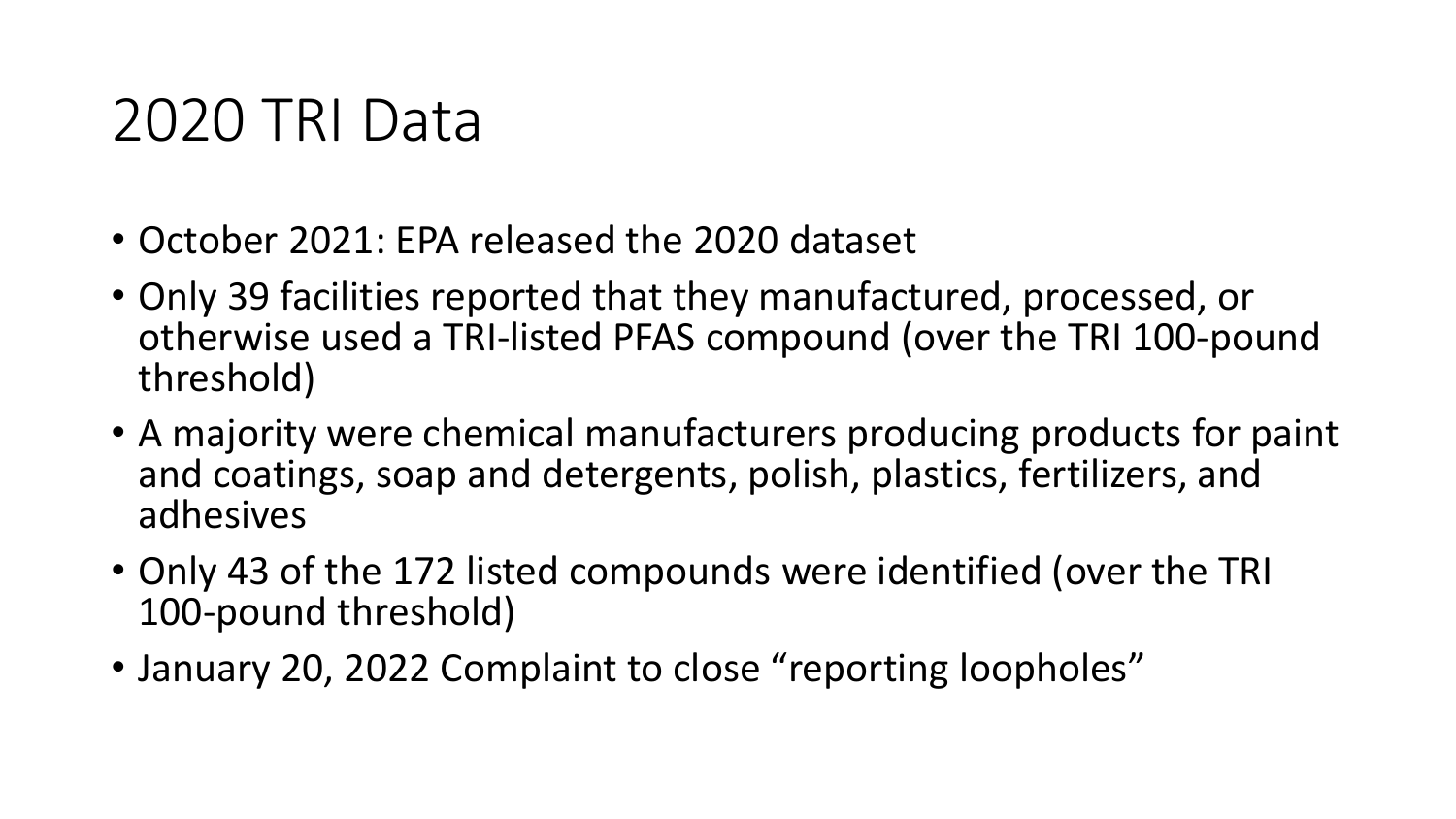#### 2020 TRI Data

- October 2021: EPA released the 2020 dataset
- Only 39 facilities reported that they manufactured, processed, or otherwise used a TRI-listed PFAS compound (over the TRI 100-pound threshold)
- A majority were chemical manufacturers producing products for paint and coatings, soap and detergents, polish, plastics, fertilizers, and adhesives
- Only 43 of the 172 listed compounds were identified (over the TRI 100-pound threshold)
- January 20, 2022 Complaint to close "reporting loopholes"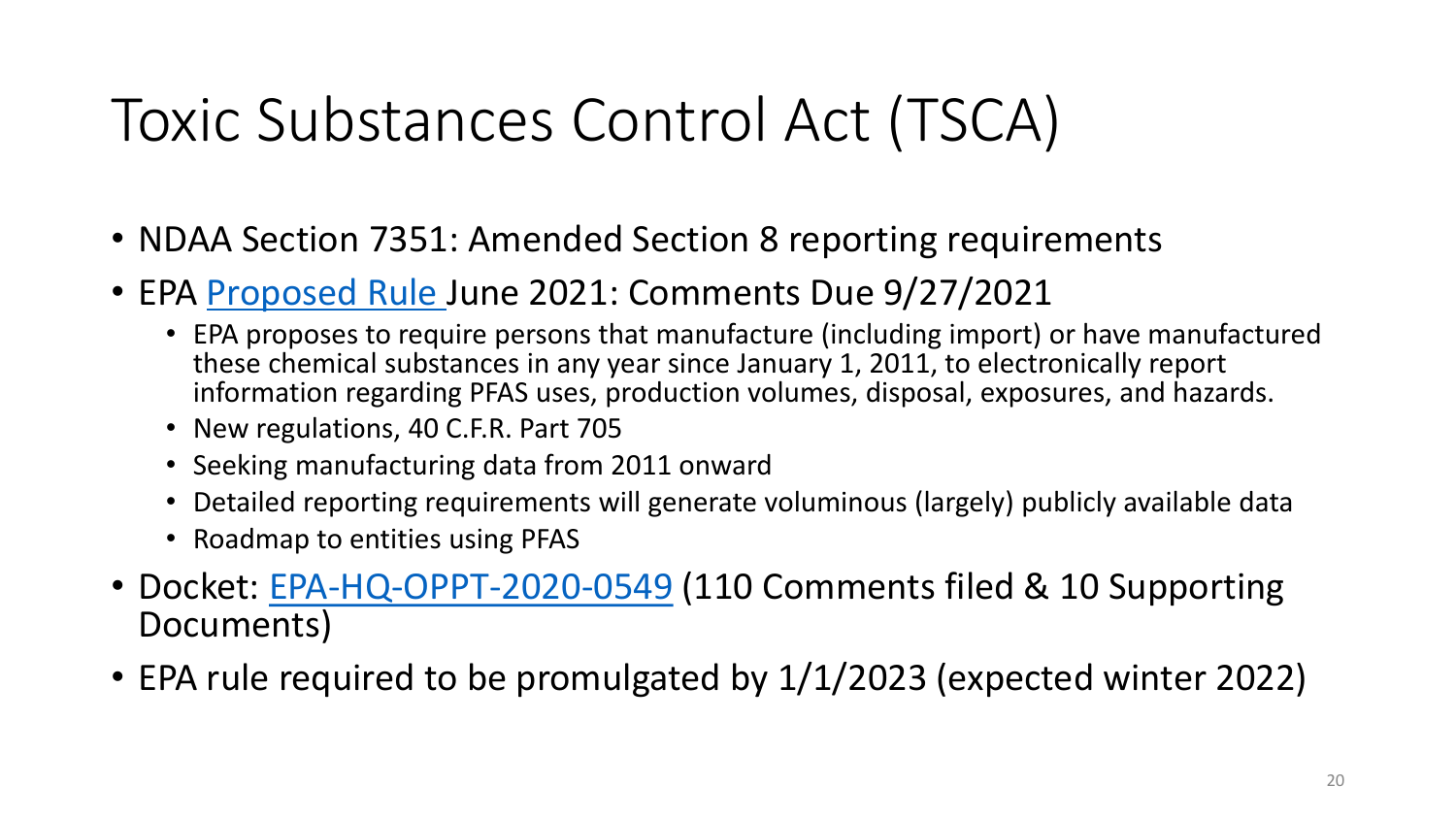# Toxic Substances Control Act (TSCA)

- NDAA Section 7351: Amended Section 8 reporting requirements
- EPA [Proposed Rule](https://www.epa.gov/node/267465/view) June 2021: Comments Due 9/27/2021
	- EPA proposes to require persons that manufacture (including import) or have manufactured these chemical substances in any year since January 1, 2011, to electronically report information regarding PFAS uses, production volumes, disposal, exposures, and hazards.
	- New regulations, 40 C.F.R. Part 705
	- Seeking manufacturing data from 2011 onward
	- Detailed reporting requirements will generate voluminous (largely) publicly available data
	- Roadmap to entities using PFAS
- Docket: [EPA-HQ-OPPT-2020-0549](https://www.regulations.gov/docket/EPA-HQ-OPPT-2020-0549) (110 Comments filed & 10 Supporting Documents)
- EPA rule required to be promulgated by 1/1/2023 (expected winter 2022)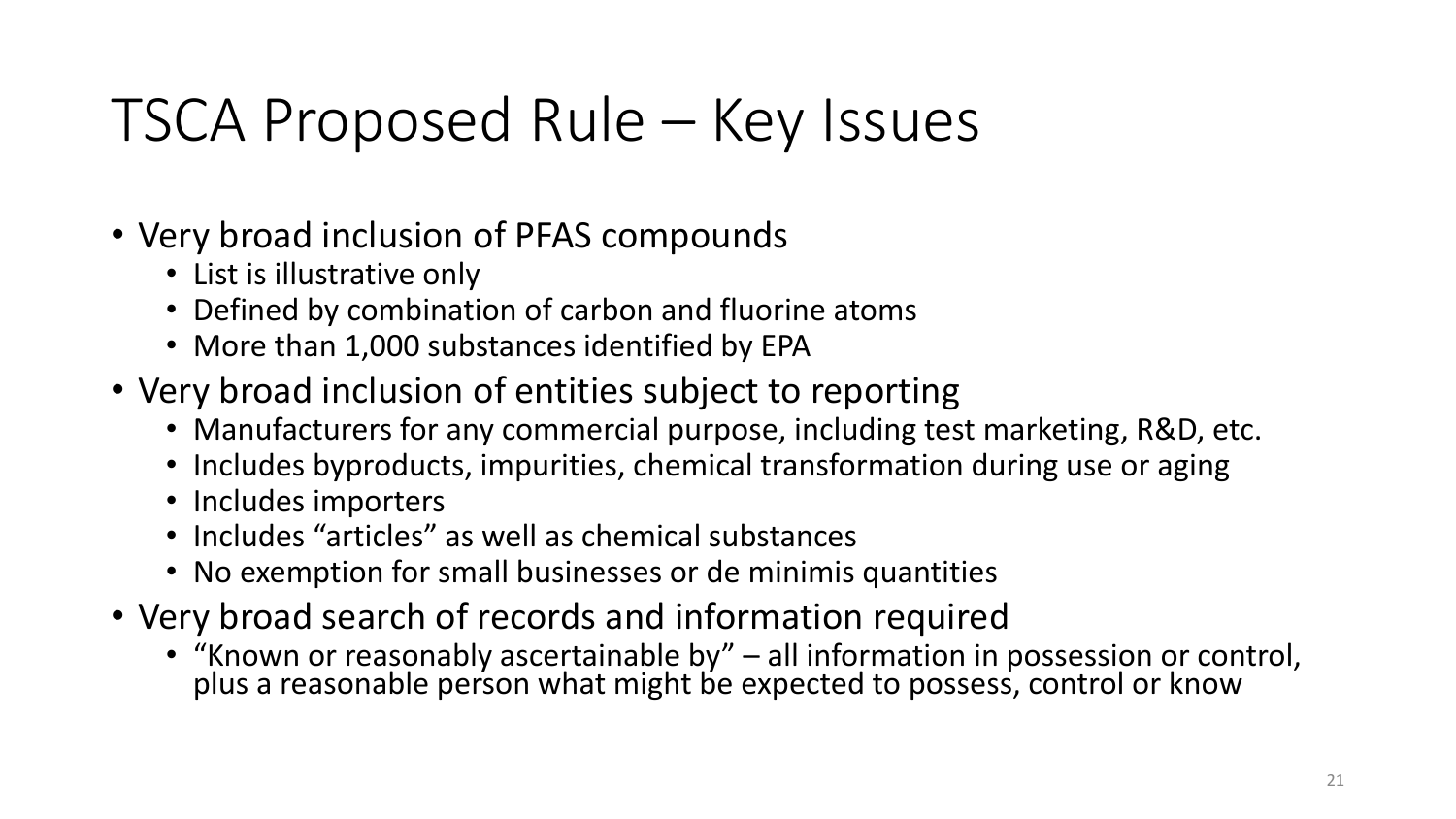### TSCA Proposed Rule – Key Issues

- Very broad inclusion of PFAS compounds
	- List is illustrative only
	- Defined by combination of carbon and fluorine atoms
	- More than 1,000 substances identified by EPA
- Very broad inclusion of entities subject to reporting
	- Manufacturers for any commercial purpose, including test marketing, R&D, etc.
	- Includes byproducts, impurities, chemical transformation during use or aging
	- Includes importers
	- Includes "articles" as well as chemical substances
	- No exemption for small businesses or de minimis quantities
- Very broad search of records and information required
	- "Known or reasonably ascertainable by" all information in possession or control,<br>plus a reasonable person what might be expected to possess, control or know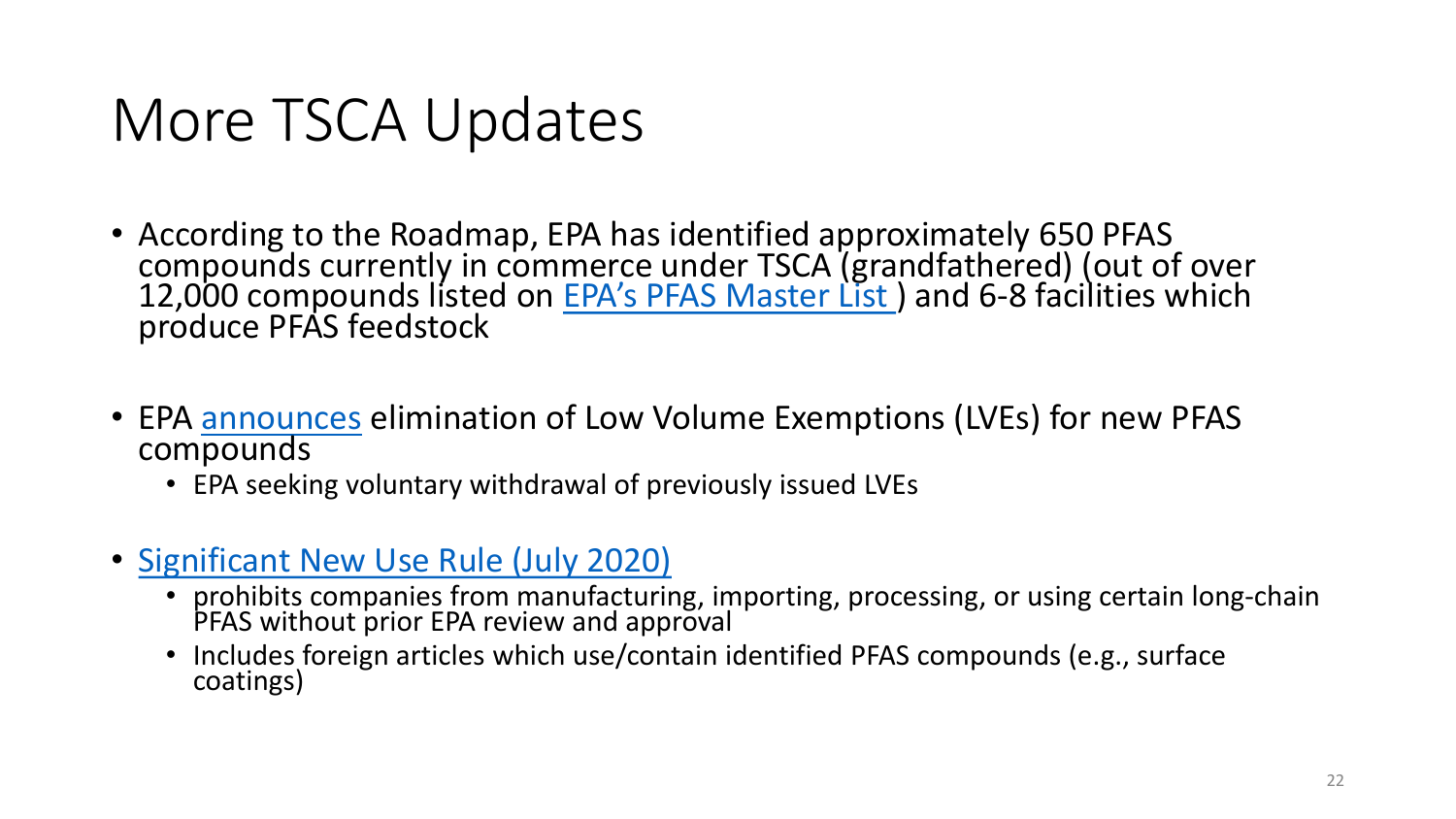#### More TSCA Updates

- According to the Roadmap, EPA has identified approximately 650 PFAS compounds currently in commerce under TSCA [\(gra](https://comptox.epa.gov/dashboard/chemical-lists/PFASMASTER)ndfathered) (out of over<br>12,000 compounds listed on <u>EPA's PFAS Master List</u> ) and 6-8 facilities which produce PFAS feedstock
- EPA [announces](https://www.epa.gov/chemicals-under-tsca/epa-announces-changes-prevent-unsafe-new-pfas-entering-market) elimination of Low Volume Exemptions (LVEs) for new PFAS compounds
	- EPA seeking voluntary withdrawal of previously issued LVEs
- [Significant New Use Rule \(July 2020\)](https://www.regulations.gov/document/EPA-HQ-OPPT-2013-0225-0232)
	- prohibits companies from manufacturing, importing, processing, or using certain long-chain PFAS without prior EPA review and approval
	- Includes foreign articles which use/contain identified PFAS compounds (e.g., surface coatings)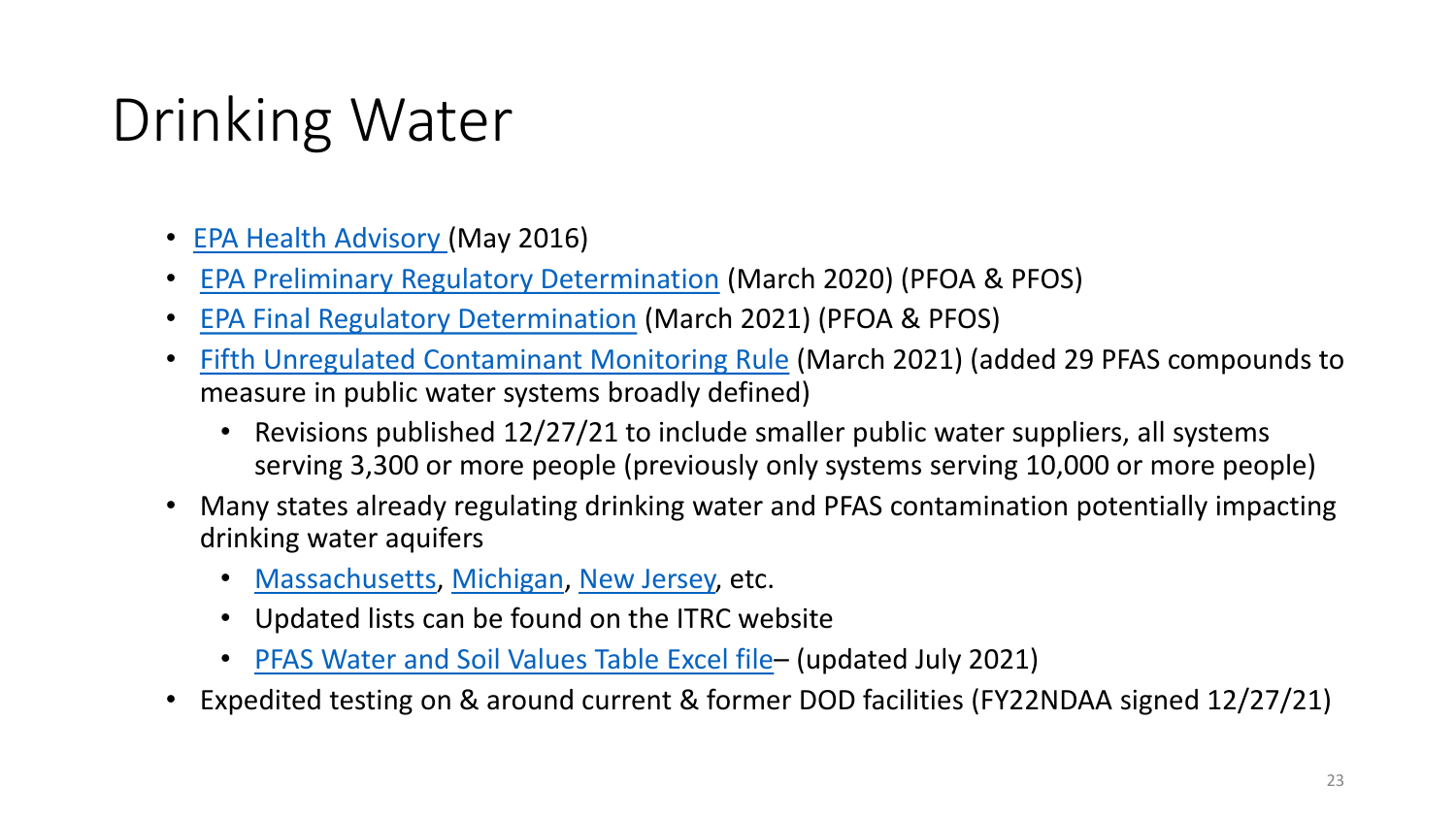# Drinking Water

- [EPA Health Advisory](https://www.epa.gov/sites/default/files/2016-05/documents/pfoa_health_advisory_final_508.pdf) (May 2016)
- [EPA Preliminary Regulatory Determination](https://www.federalregister.gov/documents/2020/03/10/2020-04145/announcement-of-preliminary-regulatory-determinations-for-contaminants-on-the-fourth-drinking-water) (March 2020) (PFOA & PFOS)
- [EPA Final Regulatory Determination](https://www.federalregister.gov/documents/2021/03/03/2021-04184/announcement-of-final-regulatory-determinations-for-contaminants-on-the-fourth-drinking-water) (March 2021) (PFOA & PFOS)
- [Fifth Unregulated Contaminant Monitoring Rule](https://www.epa.gov/dwucmr/fifth-unregulated-contaminant-monitoring-rule) (March 2021) (added 29 PFAS compounds to measure in public water systems broadly defined)
	- Revisions published 12/27/21 to include smaller public water suppliers, all systems serving 3,300 or more people (previously only systems serving 10,000 or more people)
- Many states already regulating drinking water and PFAS contamination potentially impacting drinking water aquifers
	- [Massachusetts,](https://www.mass.gov/doc/pfas-mcl-revisions-to-310-cmr-2200-clean-version-9-16-2020/download) [Michigan](https://content.govdelivery.com/accounts/MIDEQ/bulletins/298c5fe), [New Jersey,](https://www.nj.gov/dep/newsrel/2020/20_0025.htm) etc.
	- Updated lists can be found on the ITRC website
	- PFAS [Water and Soil Values Table Excel file](https://pfas-1.itrcweb.org/wp-content/uploads/2021/08/ITRCPFASWaterandSoilValuesTables_JULY-2021-FINAL.xlsx) (updated July 2021)
- Expedited testing on & around current & former DOD facilities (FY22NDAA signed 12/27/21)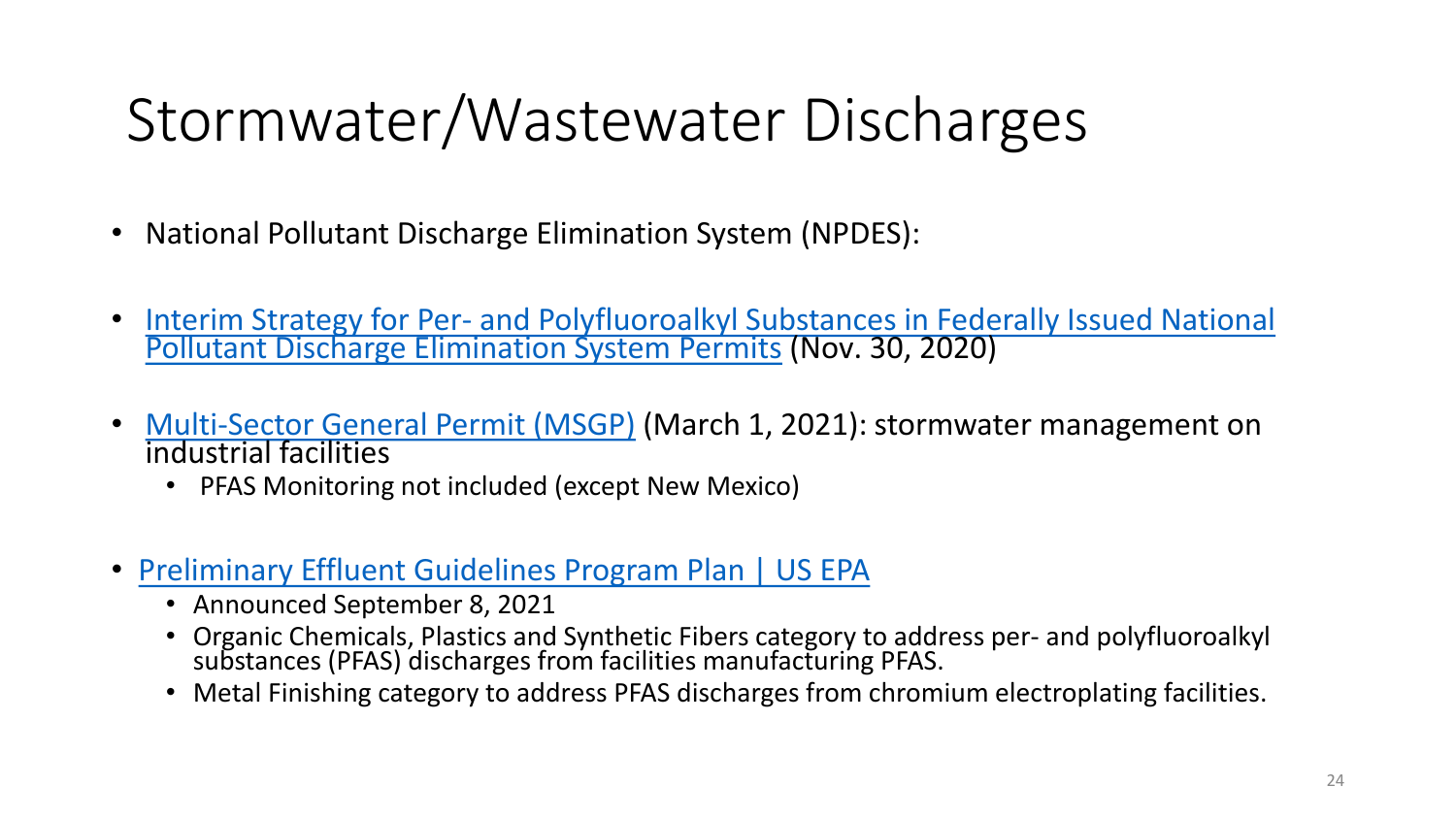## Stormwater/Wastewater Discharges

- National Pollutant Discharge Elimination System (NPDES):
- Interim Strategy for Per- and Polyfluoroalkyl [Substances in Federally Issued National](https://www.epa.gov/sites/production/files/2020-11/documents/pfas_npdes_interim_strategy_november_2020_signed.pdf) [Pollutant Discharge Elimination System Permits](https://www.epa.gov/sites/production/files/2020-11/documents/pfas_npdes_interim_strategy_november_2020_signed.pdf) (Nov. 30, 2020)
- [Multi-Sector General Permit \(MSGP\)](https://www.epa.gov/npdes/stormwater-discharges-industrial-activities-epas-2021-msgp) (March 1, 2021): stormwater management on industrial facilities
	- PFAS Monitoring not included (except New Mexico)
- [Preliminary Effluent Guidelines Program Plan | US EPA](https://www.epa.gov/eg/preliminary-effluent-guidelines-program-plan)
	- Announced September 8, 2021
	- Organic Chemicals, Plastics and Synthetic Fibers category to address per- and polyfluoroalkyl substances (PFAS) discharges from facilities manufacturing PFAS.
	- Metal Finishing category to address PFAS discharges from chromium electroplating facilities.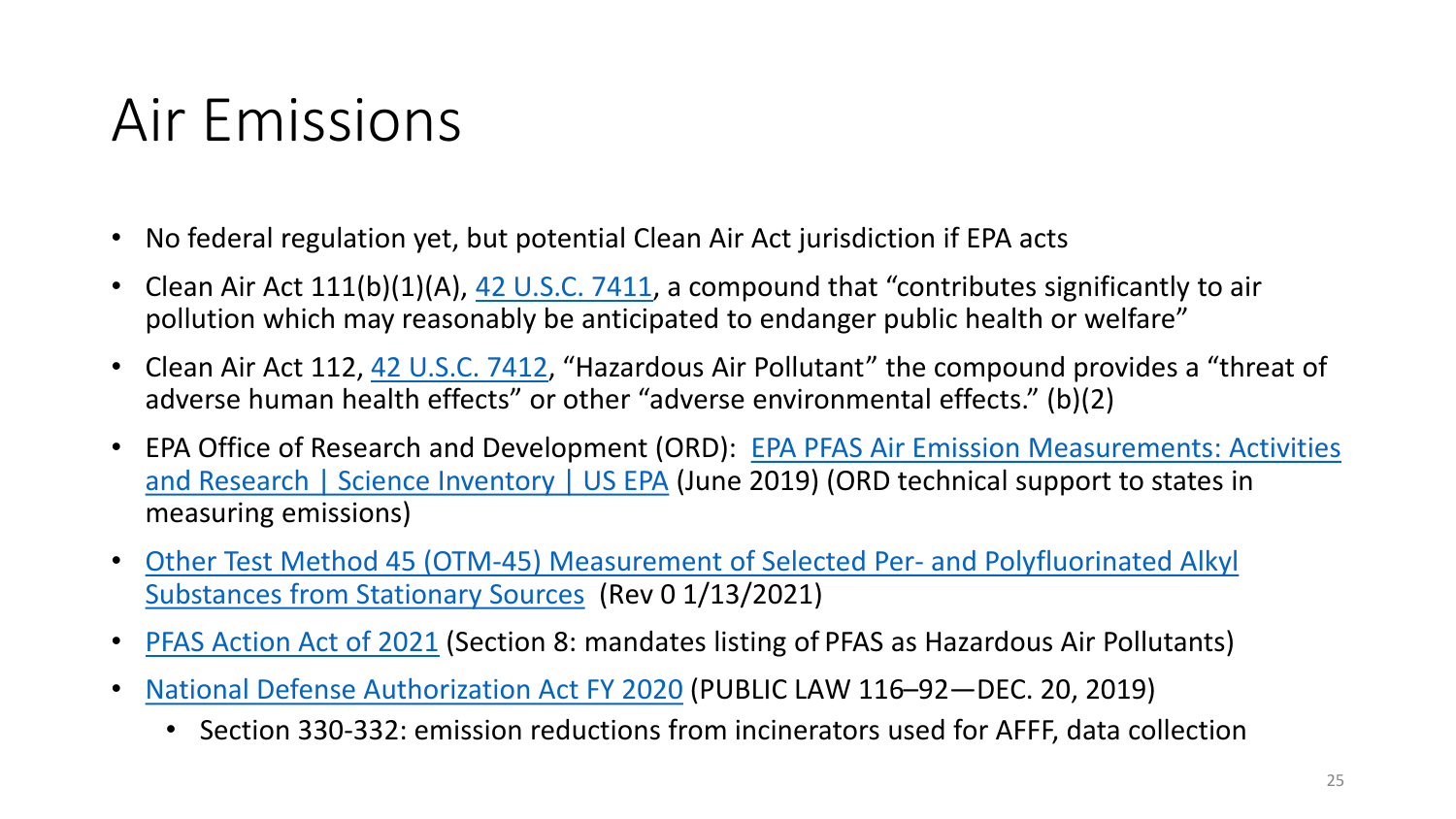#### Air Emissions

- No federal regulation yet, but potential Clean Air Act jurisdiction if EPA acts
- Clean Air Act  $111(b)(1)(A)$ , [42 U.S.C. 7411](https://www.law.cornell.edu/uscode/text/42/7411), a compound that "contributes significantly to air pollution which may reasonably be anticipated to endanger public health or welfare"
- Clean Air Act 112, [42 U.S.C. 7412](https://www.law.cornell.edu/uscode/text/42/7412), "Hazardous Air Pollutant" the compound provides a "threat of adverse human health effects" or other "adverse environmental effects." (b)(2)
- [EPA Office of Research and Development \(ORD\): EPA PFAS](https://cfpub.epa.gov/si/si_public_record_report.cfm?Lab=NRMRL&dirEntryId=345762) Air Emission Measurements: Activities and Research | Science Inventory | US EPA (June 2019) (ORD technical support to states in measuring emissions)
- [Other Test Method 45 \(OTM-45\) Measurement of Selected Per-](https://www.epa.gov/sites/production/files/2021-01/documents/otm_45_semivolatile_pfas_1-13-21.pdf) and Polyfluorinated Alkyl Substances from Stationary Sources (Rev 0 1/13/2021)
- PFAS [Action Act of 2021](https://debbiedingell.house.gov/uploadedfiles/pfas_action_final.pdf) (Section 8: mandates listing of PFAS as Hazardous Air Pollutants)
- [National Defense Authorization Act FY 2020](https://congress.gov/116/plaws/publ92/PLAW-116publ92.pdf) (PUBLIC LAW 116–92—DEC. 20, 2019)
	- Section 330-332: emission reductions from incinerators used for AFFF, data collection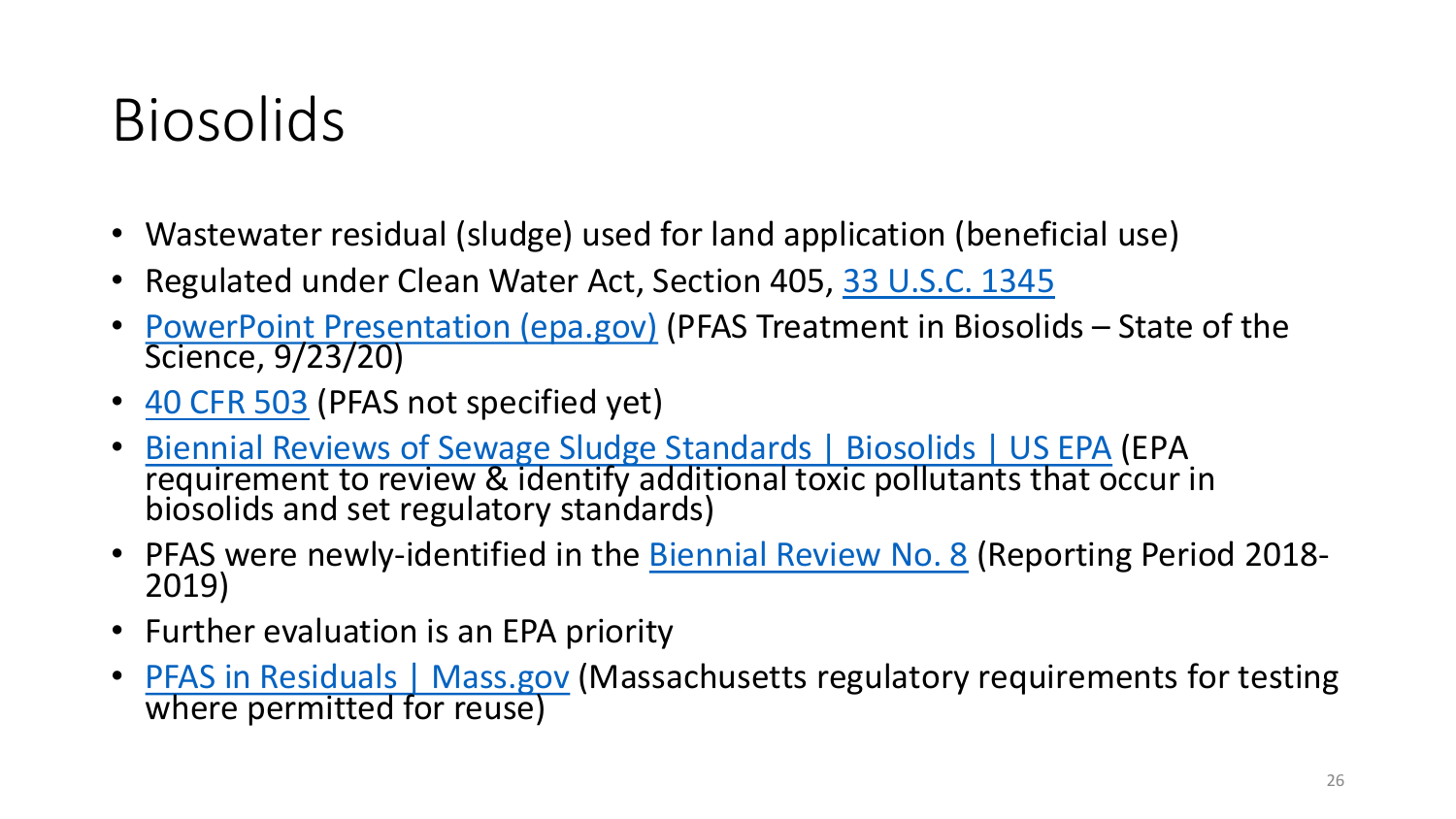#### Biosolids

- Wastewater residual (sludge) used for land application (beneficial use)
- Regulated under Clean Water Act, Section 405, [33 U.S.C. 1345](https://www.law.cornell.edu/uscode/text/33/1345)
- [PowerPoint Presentation \(epa.gov\)](https://www.epa.gov/sites/production/files/2020-10/documents/r1-pfas_webinar_day_2_session_6_mills_final.pdf) (PFAS Treatment in Biosolids State of the Science, 9/23/20)
- [40 CFR 503](https://www.law.cornell.edu/cfr/text/40/part-503) (PFAS not specified yet)
- Biennial Reviews of Sewage Sludge Standards | Biosolids | US EPA (EPA [requirement to review & identify additional toxic pollutants that o](https://www.epa.gov/biosolids/biennial-reviews-sewage-sludge-standards:%7E:text=Clean%20Water%20Act%20(CWA)%20Section,human%20health%20or%20the%20environment.)ccur in biosolids and set regulatory standards)
- PFAS were newly-identified in the **Biennial Review No. 8** (Reporting Period 2018-<br>2019)
- Further evaluation is an EPA priority
- PFAS in Residuals | Mass.gov (Massachusetts regulatory requirements for testing [where permitted for reuse\)](https://www.mass.gov/info-details/pfas-in-residuals)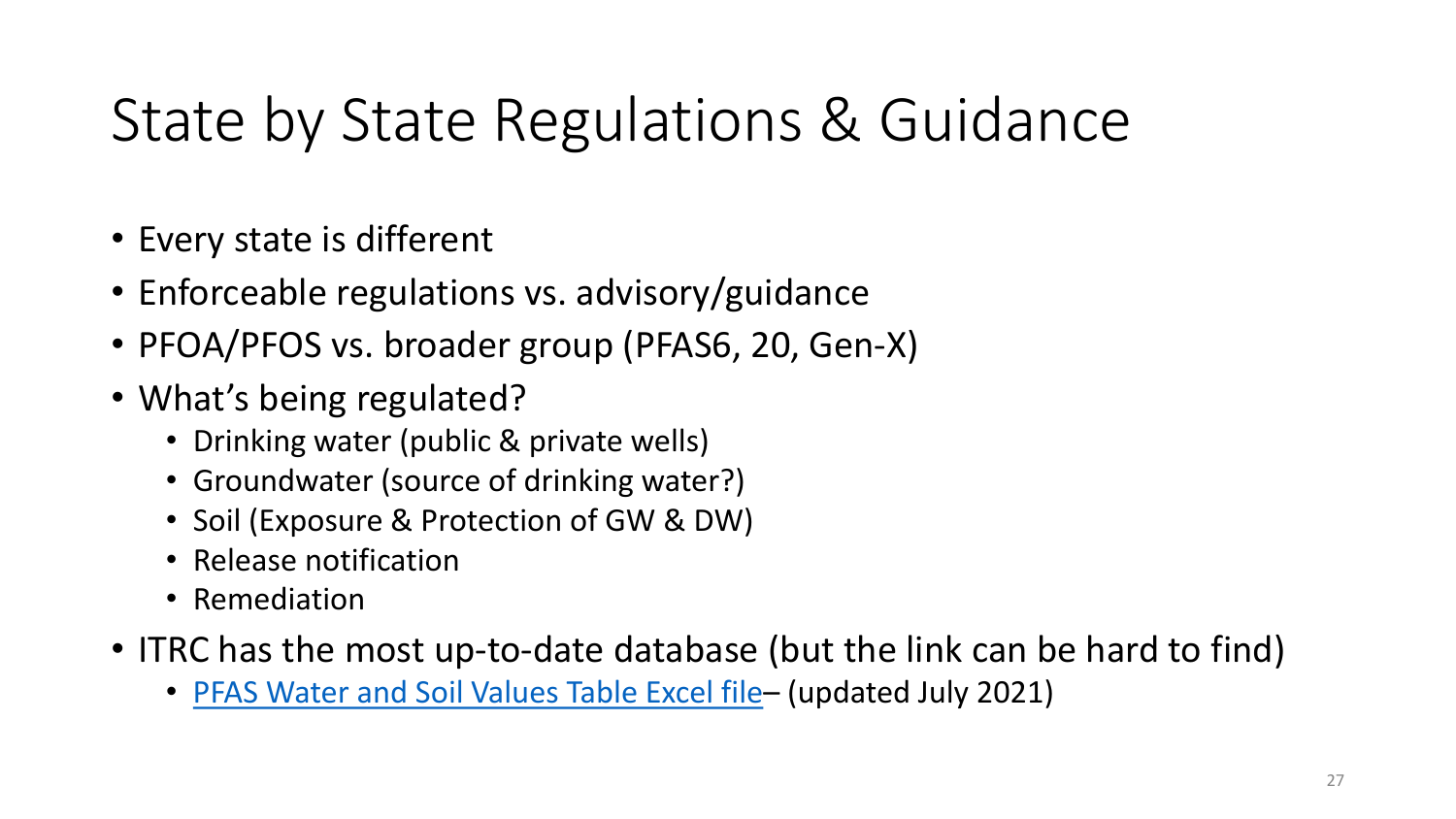## State by State Regulations & Guidance

- Every state is different
- Enforceable regulations vs. advisory/guidance
- PFOA/PFOS vs. broader group (PFAS6, 20, Gen-X)
- What's being regulated?
	- Drinking water (public & private wells)
	- Groundwater (source of drinking water?)
	- Soil (Exposure & Protection of GW & DW)
	- Release notification
	- Remediation
- ITRC has the most up-to-date database (but the link can be hard to find)
	- PFAS [Water and Soil Values Table Excel file](https://pfas-1.itrcweb.org/wp-content/uploads/2021/08/ITRCPFASWaterandSoilValuesTables_JULY-2021-FINAL.xlsx) (updated July 2021)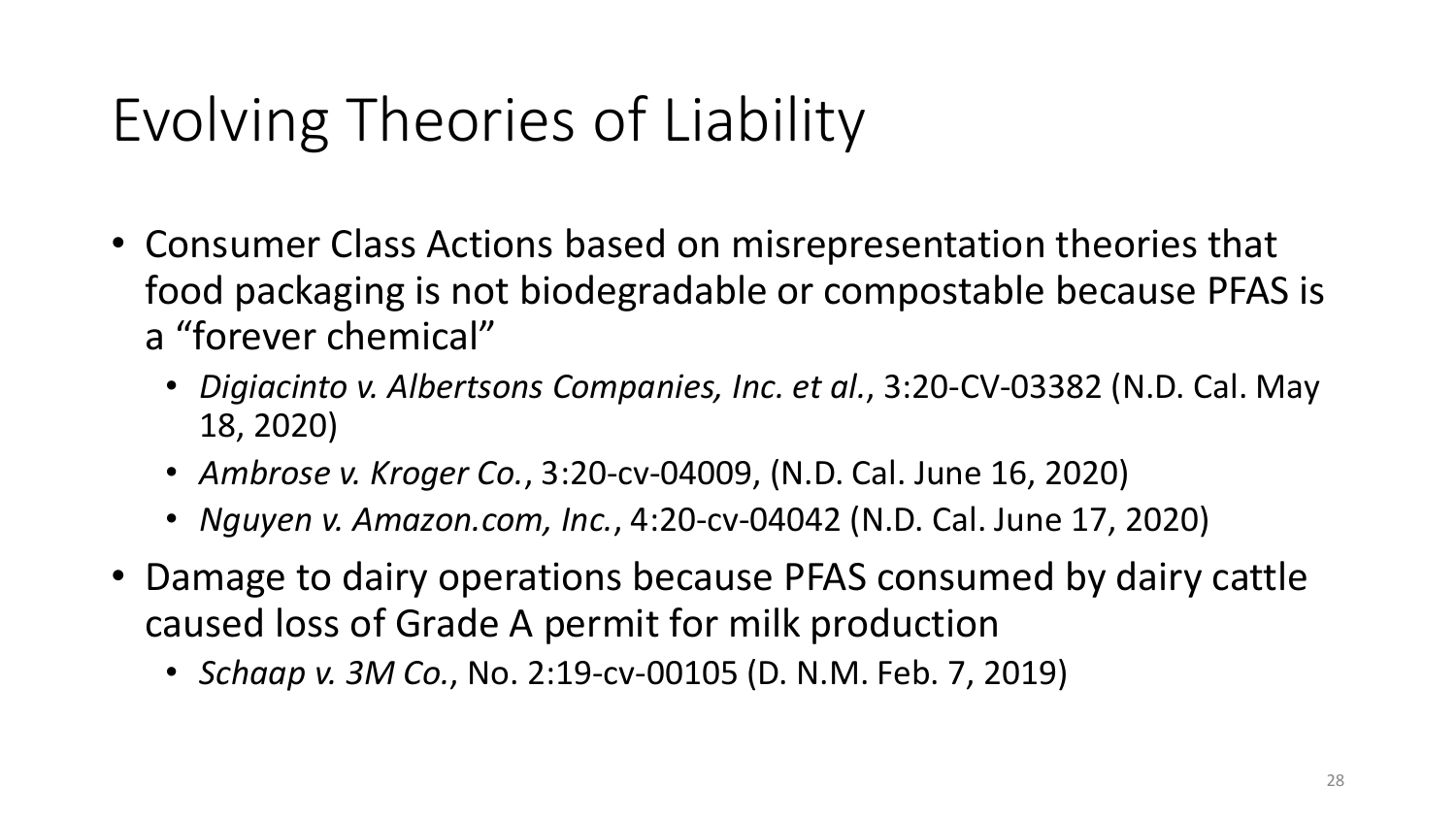# Evolving Theories of Liability

- Consumer Class Actions based on misrepresentation theories that food packaging is not biodegradable or compostable because PFAS is a "forever chemical"
	- *Digiacinto v. Albertsons Companies, Inc. et al.*, 3:20-CV-03382 (N.D. Cal. May 18, 2020)
	- *Ambrose v. Kroger Co.*, 3:20-cv-04009, (N.D. Cal. June 16, 2020)
	- *Nguyen v. Amazon.com, Inc.*, 4:20-cv-04042 (N.D. Cal. June 17, 2020)
- Damage to dairy operations because PFAS consumed by dairy cattle caused loss of Grade A permit for milk production
	- *Schaap v. 3M Co.*, No. 2:19-cv-00105 (D. N.M. Feb. 7, 2019)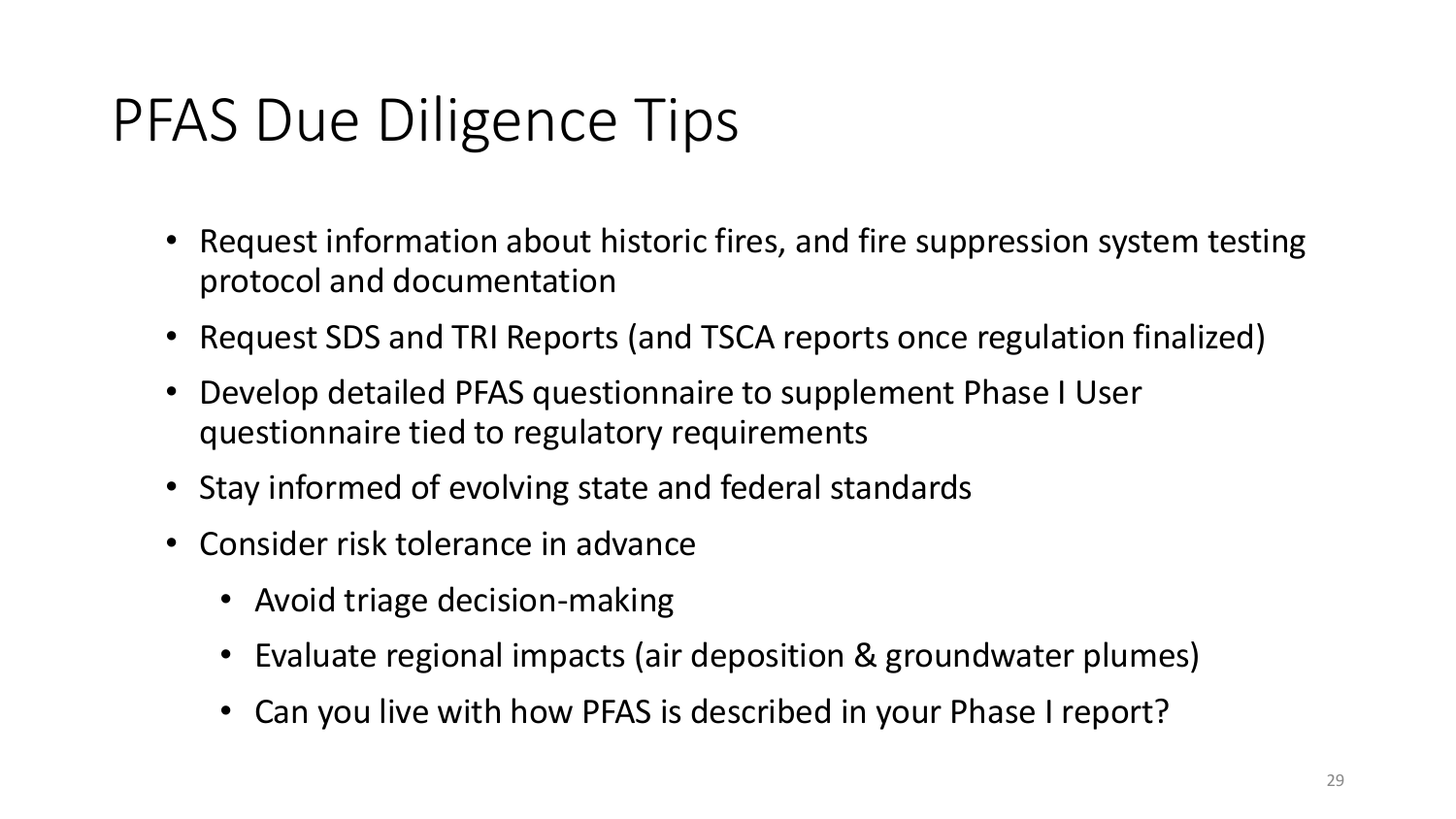## PFAS Due Diligence Tips

- Request information about historic fires, and fire suppression system testing protocol and documentation
- Request SDS and TRI Reports (and TSCA reports once regulation finalized)
- Develop detailed PFAS questionnaire to supplement Phase I User questionnaire tied to regulatory requirements
- Stay informed of evolving state and federal standards
- Consider risk tolerance in advance
	- Avoid triage decision-making
	- Evaluate regional impacts (air deposition & groundwater plumes)
	- Can you live with how PFAS is described in your Phase I report?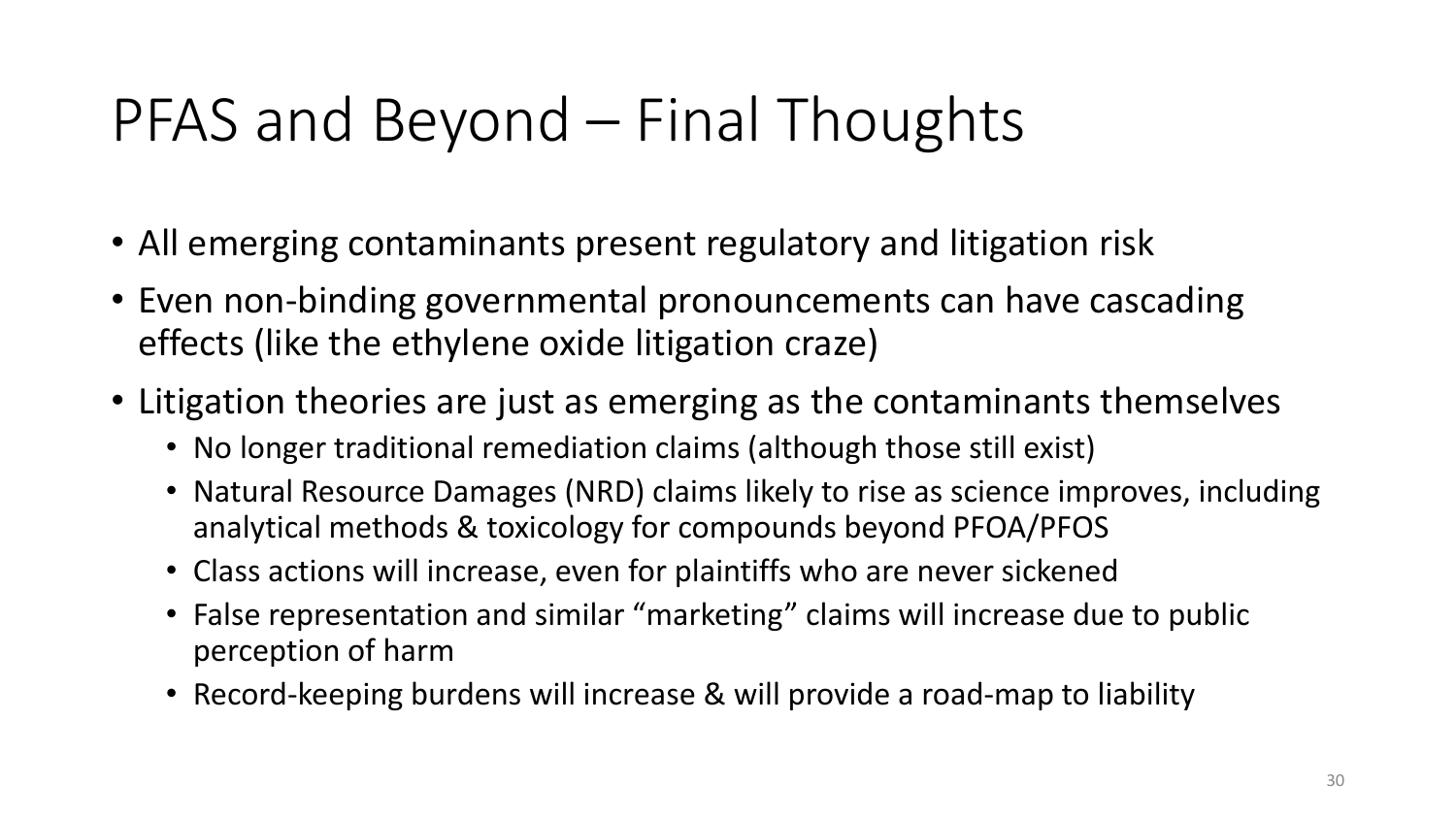#### PFAS and Beyond – Final Thoughts

- All emerging contaminants present regulatory and litigation risk
- Even non-binding governmental pronouncements can have cascading effects (like the ethylene oxide litigation craze)
- Litigation theories are just as emerging as the contaminants themselves
	- No longer traditional remediation claims (although those still exist)
	- Natural Resource Damages (NRD) claims likely to rise as science improves, including analytical methods & toxicology for compounds beyond PFOA/PFOS
	- Class actions will increase, even for plaintiffs who are never sickened
	- False representation and similar "marketing" claims will increase due to public perception of harm
	- Record-keeping burdens will increase & will provide a road-map to liability